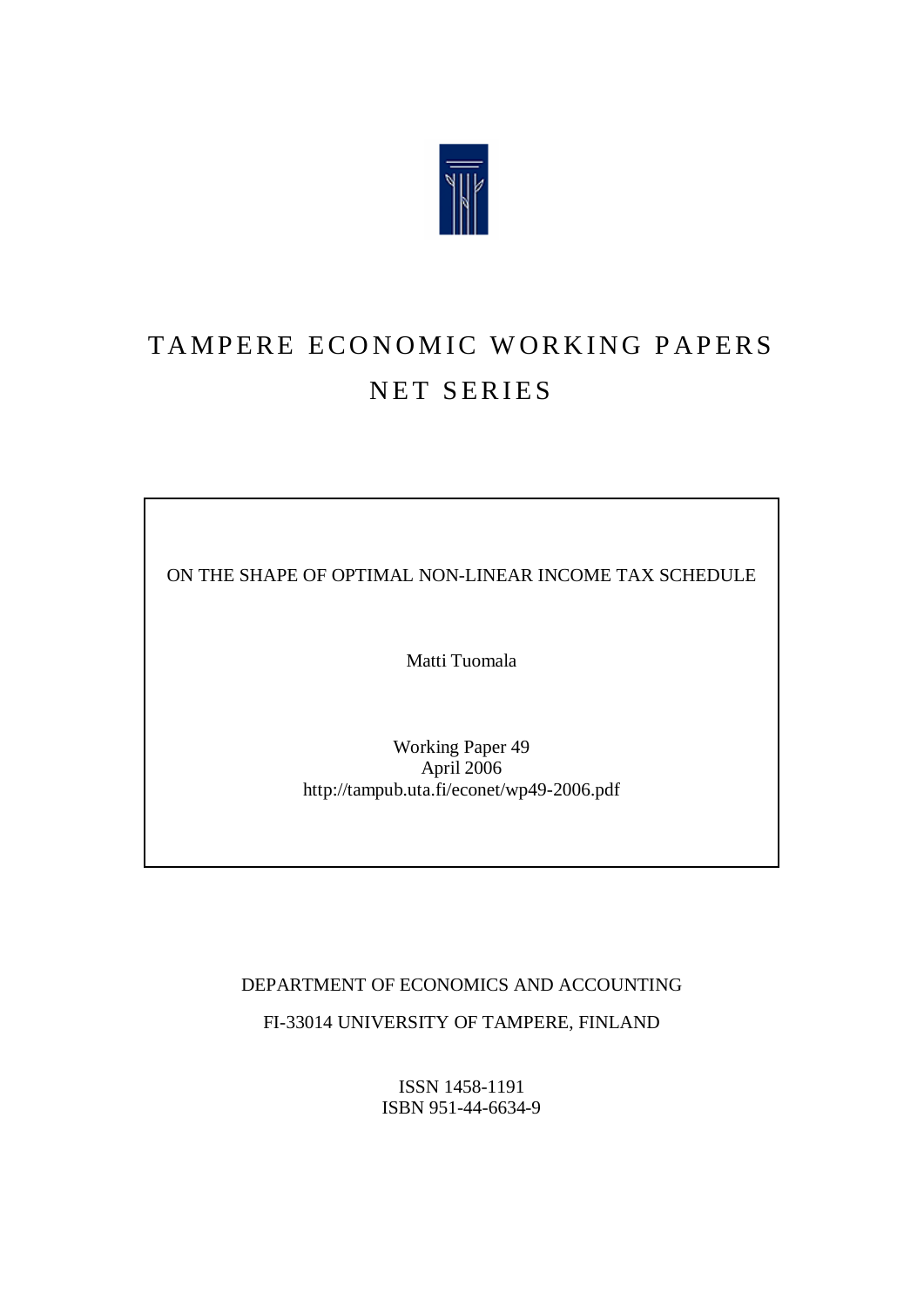

# TAMPERE ECONOMIC WORKING PAPERS NET SERIES

ON THE SHAPE OF OPTIMAL NON-LINEAR INCOME TAX SCHEDULE

Matti Tuomala

Working Paper 49 April 2006 <http://tampub.uta.fi/econet/wp49-2006.pdf>

DEPARTMENT OF ECONOMICS AND ACCOUNTING

FI-33014 UNIVERSITY OF TAMPERE, FINLAND

ISSN 1458-1191 ISBN 951-44-6634-9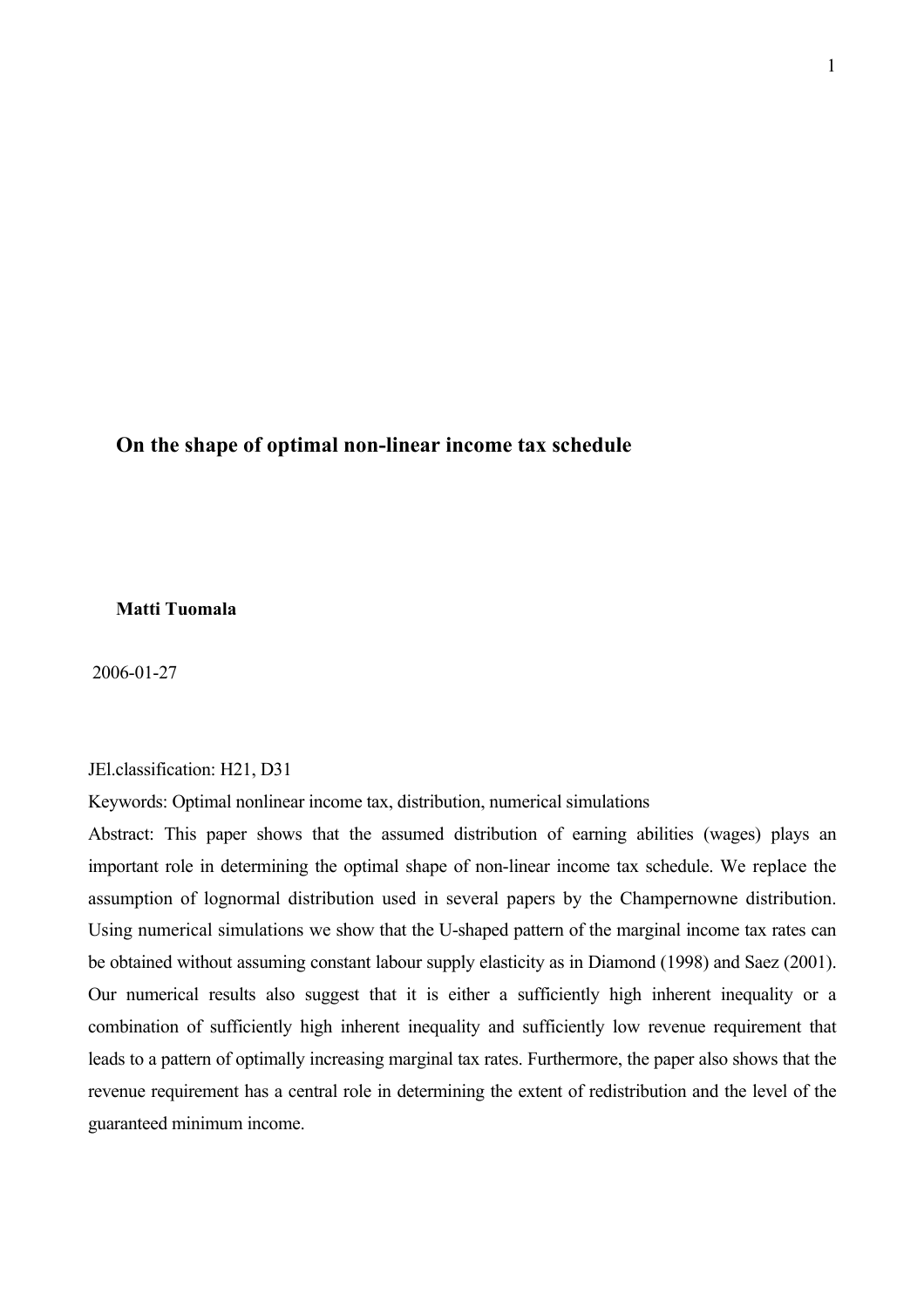# **On the shape of optimal non-linear income tax schedule**

# **Matti Tuomala**

2006-01-27

#### JEl.classification: H21, D31

Keywords: Optimal nonlinear income tax, distribution, numerical simulations

Abstract: This paper shows that the assumed distribution of earning abilities (wages) plays an important role in determining the optimal shape of non-linear income tax schedule. We replace the assumption of lognormal distribution used in several papers by the Champernowne distribution. Using numerical simulations we show that the U-shaped pattern of the marginal income tax rates can be obtained without assuming constant labour supply elasticity as in Diamond (1998) and Saez (2001). Our numerical results also suggest that it is either a sufficiently high inherent inequality or a combination of sufficiently high inherent inequality and sufficiently low revenue requirement that leads to a pattern of optimally increasing marginal tax rates. Furthermore, the paper also shows that the revenue requirement has a central role in determining the extent of redistribution and the level of the guaranteed minimum income.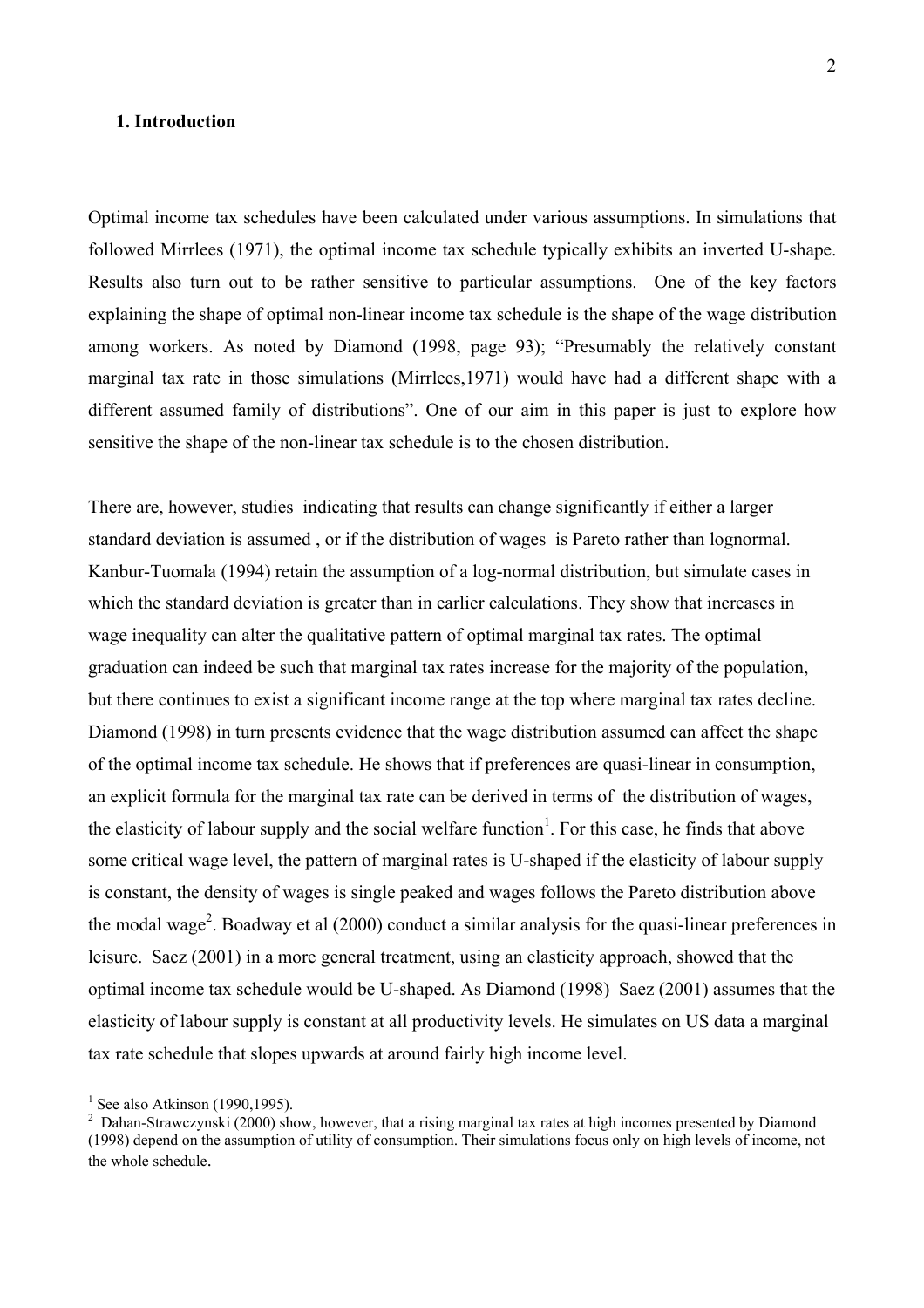#### **1. Introduction**

Optimal income tax schedules have been calculated under various assumptions. In simulations that followed Mirrlees (1971), the optimal income tax schedule typically exhibits an inverted U-shape. Results also turn out to be rather sensitive to particular assumptions. One of the key factors explaining the shape of optimal non-linear income tax schedule is the shape of the wage distribution among workers. As noted by Diamond (1998, page 93); "Presumably the relatively constant marginal tax rate in those simulations (Mirrlees,1971) would have had a different shape with a different assumed family of distributions". One of our aim in this paper is just to explore how sensitive the shape of the non-linear tax schedule is to the chosen distribution.

There are, however, studies indicating that results can change significantly if either a larger standard deviation is assumed , or if the distribution of wages is Pareto rather than lognormal. Kanbur-Tuomala (1994) retain the assumption of a log-normal distribution, but simulate cases in which the standard deviation is greater than in earlier calculations. They show that increases in wage inequality can alter the qualitative pattern of optimal marginal tax rates. The optimal graduation can indeed be such that marginal tax rates increase for the majority of the population, but there continues to exist a significant income range at the top where marginal tax rates decline. Diamond (1998) in turn presents evidence that the wage distribution assumed can affect the shape of the optimal income tax schedule. He shows that if preferences are quasi-linear in consumption, an explicit formula for the marginal tax rate can be derived in terms of the distribution of wages, the elasticity of labour supply and the social welfare function<sup>1</sup>[.](#page-2-0) For this case, he finds that above some critical wage level, the pattern of marginal rates is U-shaped if the elasticity of labour supply is constant, the density of wages is single peaked and wages follows the Pareto distribution above the modal wage<sup>[2](#page-2-1)</sup>. Boadway et al  $(2000)$  conduct a similar analysis for the quasi-linear preferences in leisure. Saez (2001) in a more general treatment, using an elasticity approach, showed that the optimal income tax schedule would be U-shaped. As Diamond (1998) Saez (2001) assumes that the elasticity of labour supply is constant at all productivity levels. He simulates on US data a marginal tax rate schedule that slopes upwards at around fairly high income level.

 $\overline{a}$ 

<span id="page-2-0"></span> $<sup>1</sup>$  See also Atkinson (1990,1995).</sup>

<span id="page-2-1"></span> $2$  Dahan-Strawczynski (2000) show, however, that a rising marginal tax rates at high incomes presented by Diamond (1998) depend on the assumption of utility of consumption. Their simulations focus only on high levels of income, not the whole schedule.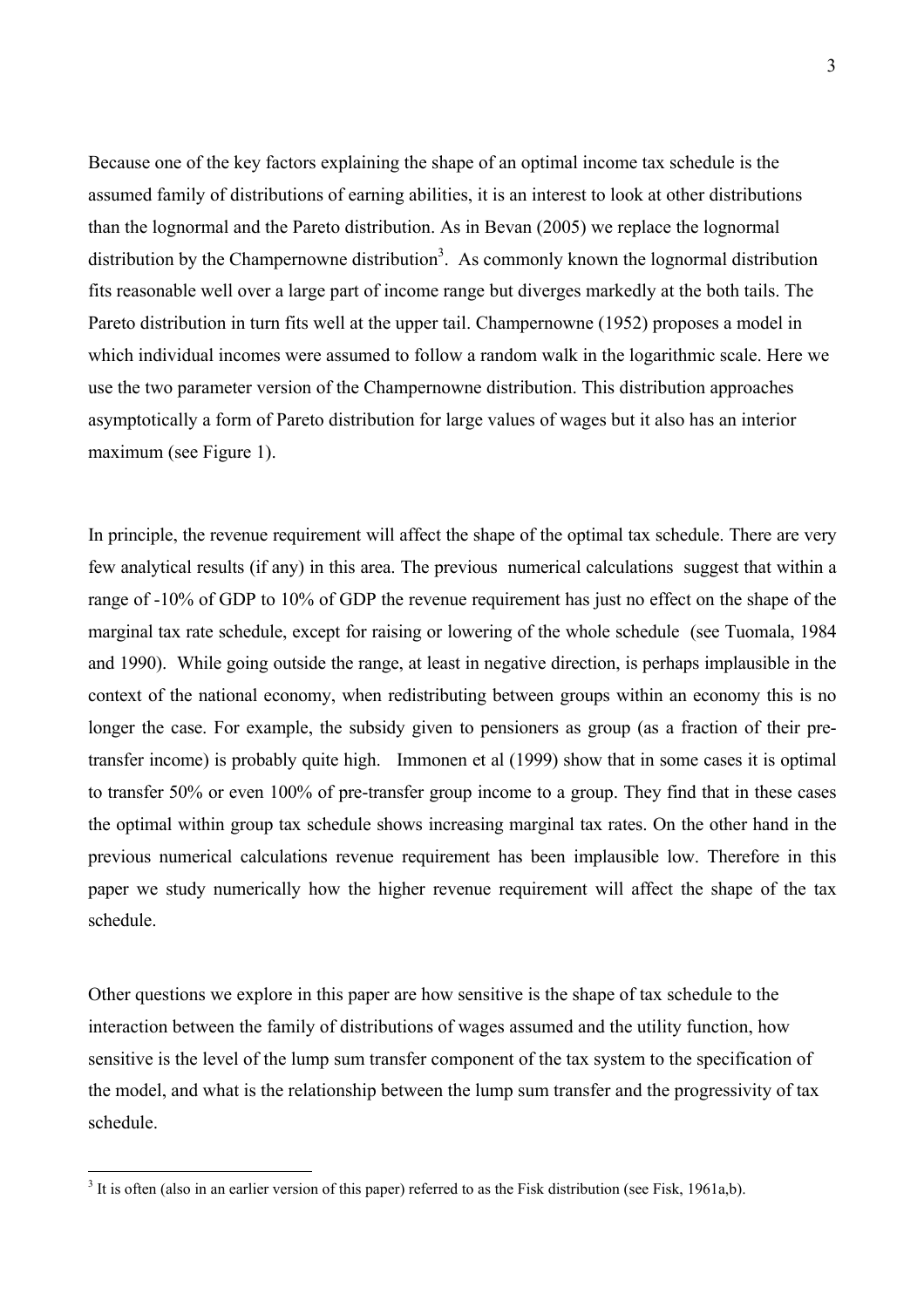Because one of the key factors explaining the shape of an optimal income tax schedule is the assumed family of distributions of earning abilities, it is an interest to look at other distributions than the lognormal and the Pareto distribution. As in Bevan (2005) we replace the lognormal distribution by the Champernowne distribution<sup>[3](#page-3-0)</sup>. As commonly known the lognormal distribution fits reasonable well over a large part of income range but diverges markedly at the both tails. The Pareto distribution in turn fits well at the upper tail. Champernowne (1952) proposes a model in which individual incomes were assumed to follow a random walk in the logarithmic scale. Here we use the two parameter version of the Champernowne distribution. This distribution approaches asymptotically a form of Pareto distribution for large values of wages but it also has an interior maximum (see Figure 1).

In principle, the revenue requirement will affect the shape of the optimal tax schedule. There are very few analytical results (if any) in this area. The previous numerical calculations suggest that within a range of -10% of GDP to 10% of GDP the revenue requirement has just no effect on the shape of the marginal tax rate schedule, except for raising or lowering of the whole schedule (see Tuomala, 1984 and 1990). While going outside the range, at least in negative direction, is perhaps implausible in the context of the national economy, when redistributing between groups within an economy this is no longer the case. For example, the subsidy given to pensioners as group (as a fraction of their pretransfer income) is probably quite high. Immonen et al (1999) show that in some cases it is optimal to transfer 50% or even 100% of pre-transfer group income to a group. They find that in these cases the optimal within group tax schedule shows increasing marginal tax rates. On the other hand in the previous numerical calculations revenue requirement has been implausible low. Therefore in this paper we study numerically how the higher revenue requirement will affect the shape of the tax schedule.

Other questions we explore in this paper are how sensitive is the shape of tax schedule to the interaction between the family of distributions of wages assumed and the utility function, how sensitive is the level of the lump sum transfer component of the tax system to the specification of the model, and what is the relationship between the lump sum transfer and the progressivity of tax schedule.

<span id="page-3-0"></span><sup>&</sup>lt;sup>3</sup> It is often (also in an earlier version of this paper) referred to as the Fisk distribution (see Fisk, 1961a,b).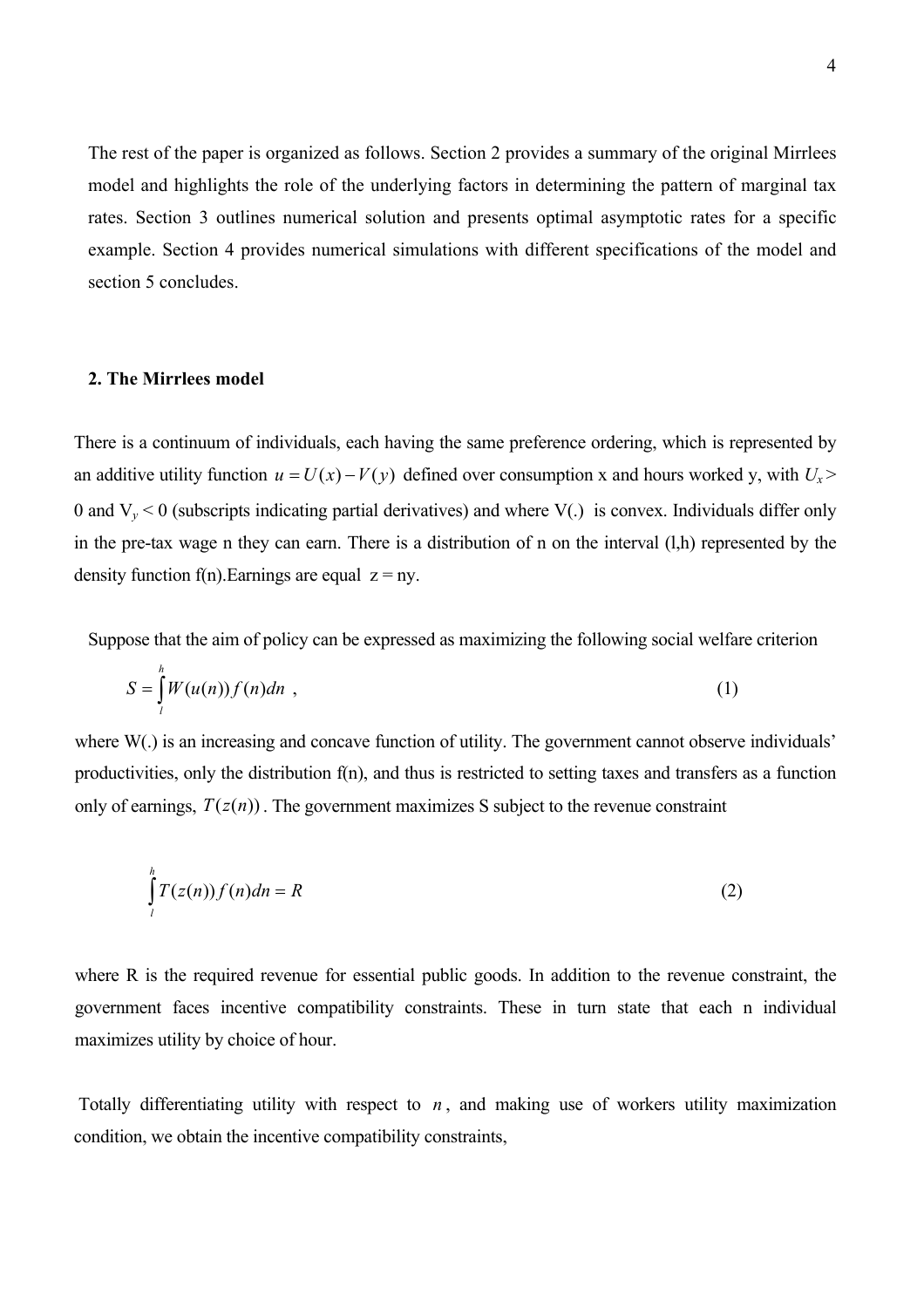The rest of the paper is organized as follows. Section 2 provides a summary of the original Mirrlees model and highlights the role of the underlying factors in determining the pattern of marginal tax rates. Section 3 outlines numerical solution and presents optimal asymptotic rates for a specific example. Section 4 provides numerical simulations with different specifications of the model and section 5 concludes.

#### **2. The Mirrlees model**

There is a continuum of individuals, each having the same preference ordering, which is represented by an additive utility function  $u = U(x) - V(y)$  defined over consumption x and hours worked y, with  $U_x$ 0 and  $V_y < 0$  (subscripts indicating partial derivatives) and where  $V(.)$  is convex. Individuals differ only in the pre-tax wage n they can earn. There is a distribution of n on the interval (l,h) represented by the density function f(n). Earnings are equal  $z = nv$ .

Suppose that the aim of policy can be expressed as maximizing the following social welfare criterion

$$
S = \int_{l}^{h} W(u(n)) f(n) dn , \qquad (1)
$$

where W(.) is an increasing and concave function of utility. The government cannot observe individuals' productivities, only the distribution f(n), and thus is restricted to setting taxes and transfers as a function only of earnings,  $T(z(n))$ . The government maximizes S subject to the revenue constraint

$$
\int_{l}^{h} T(z(n))f(n)dn = R
$$
\n(2)

where R is the required revenue for essential public goods. In addition to the revenue constraint, the government faces incentive compatibility constraints. These in turn state that each n individual maximizes utility by choice of hour.

Totally differentiating utility with respect to  $n$ , and making use of workers utility maximization condition, we obtain the incentive compatibility constraints,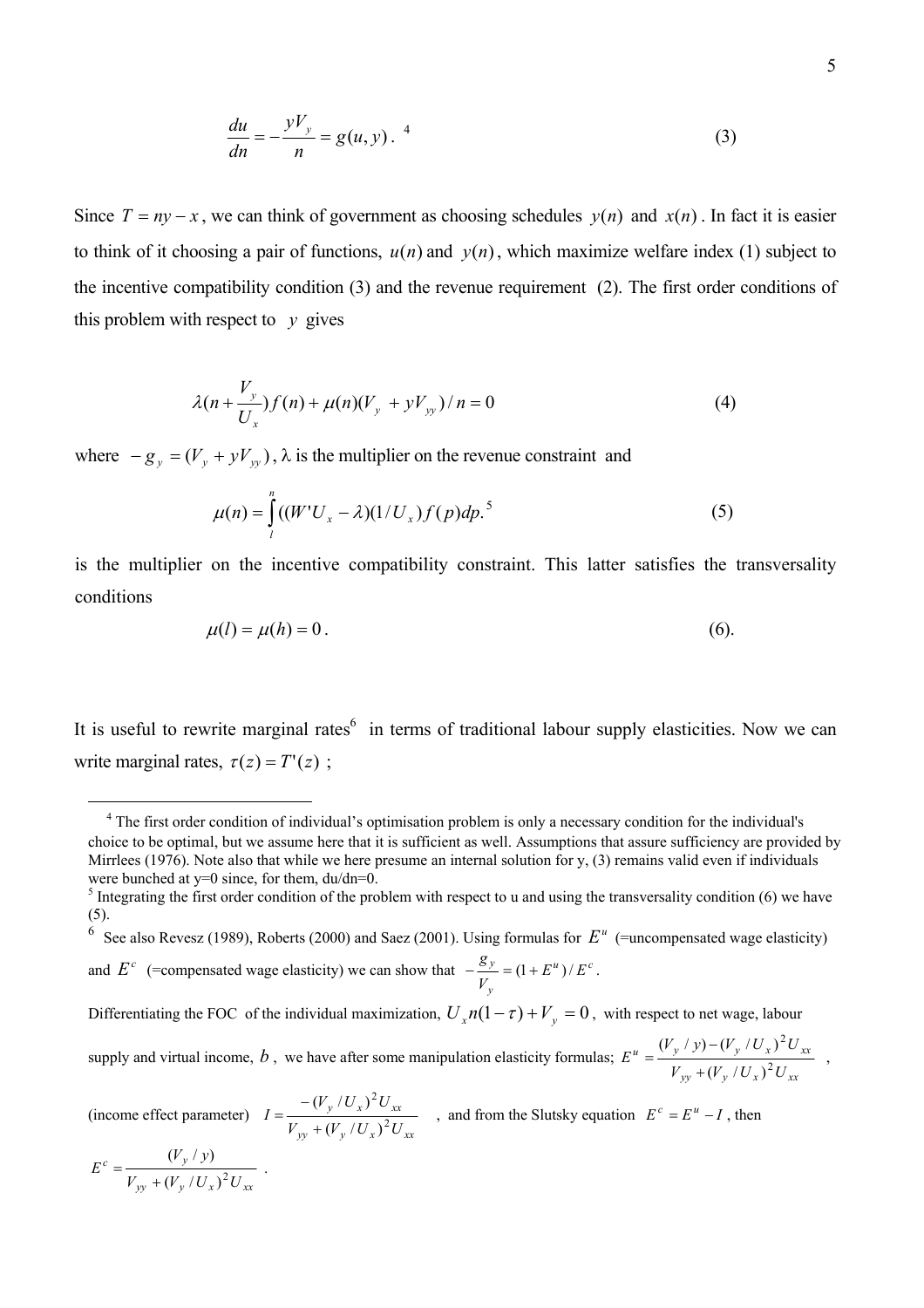$$
\frac{du}{dn} = -\frac{yV_y}{n} = g(u, y).
$$
 (3)

Since  $T = ny - x$ , we can think of government as choosing schedules  $y(n)$  and  $x(n)$ . In fact it is easier to think of it choosing a pair of functions,  $u(n)$  and  $y(n)$ , which maximize welfare index (1) subject to the incentive compatibility condition (3) and the revenue requirement (2). The first order conditions of this problem with respect to  $y$  gives

$$
\lambda(n + \frac{V_y}{U_x}) f(n) + \mu(n) (V_y + yV_{yy}) / n = 0
$$
\n(4)

where  $-g_y = (V_y + yV_{yy})$ ,  $\lambda$  is the multiplier on the revenue constraint and

$$
\mu(n) = \int_{l}^{n} ((W'U_x - \lambda)(1/U_x) f(p) dp)^5
$$
 (5)

is the multiplier on the incentive compatibility constraint. This latter satisfies the transversality conditions

$$
\mu(l) = \mu(h) = 0.
$$
\n<sup>(6)</sup>

It is useful to rewrite marginal rates<sup>[6](#page-5-1)</sup> in terms of traditional labour supply elasticities. Now we can write marginal rates,  $\tau(z) = T'(z)$ ;

<span id="page-5-1"></span>6 See also Revesz (1989), Roberts (2000) and Saez (2001). Using formulas for  $E^u$  (=uncompensated wage elasticity) and  $E^c$  (=compensated wage elasticity) we can show that  $-\frac{g_y}{c} = (1 + E^u)/E^c$  $\frac{y}{-} = (1 + E^u)/E$ *V*  $-\frac{g_y}{\sqrt{g}} = (1 + E^u)/E^c$ .

*y*

Differentiating the FOC of the individual maximization,  $U_x n(1-\tau) + V_y = 0$ , with respect to net wage, labour supply and virtual income,  $b$ , we have after some manipulation elasticity formulas;  $y_y$  + ( $v_y$  /  $v_x$ )  $v_{xx}$  $u = (V_y / V) - (V_y / U_x) U_{xx}$  $V_{vv}$  +  $(V_{v}/U_{r})^{2}U$  $(V_y / y) - (V_y / U_x)^2 U$  $E^{u} = \frac{y^{2} + y^{2}}{V} + (V^{2} + I^{T})^{2}}$ 2  $(V_v / U_x)$  $(V_v / y) - (V_v / U_x)$ +  $=\frac{(V_y/y)-(V_y/U_x)^2U_{xx}}{2},$ 

(income effect parameter)  $y_y + (V_y + U_x) U_{xx}$ *y x xx*  $V_{vv}$  +  $(V_{v}/U_{r})^{2}U$  $(V_v/U_v)^2U$ 2 2  $(V_v / U_x)$  $(V_v / U_x)$ +  $I = \frac{-(V_y/U_x)^2 U_{xx}}{2}$ , and from the Slutsky equation  $E^c = E^u - I$ , then

$$
E^{c} = \frac{(V_{y}/y)}{V_{yy} + (V_{y}/U_{x})^{2}U_{xx}}.
$$

 $\overline{a}$ 

<span id="page-5-0"></span><sup>&</sup>lt;sup>4</sup> The first order condition of individual's optimisation problem is only a necessary condition for the individual's choice to be optimal, but we assume here that it is sufficient as well. Assumptions that assure sufficiency are provided by Mirrlees (1976). Note also that while we here presume an internal solution for y, (3) remains valid even if individuals were bunched at  $y=0$  since, for them,  $du/dn=0$ .

 $\frac{1}{2}$  Integrating the first order condition of the problem with respect to u and using the transversality condition (6) we have (5).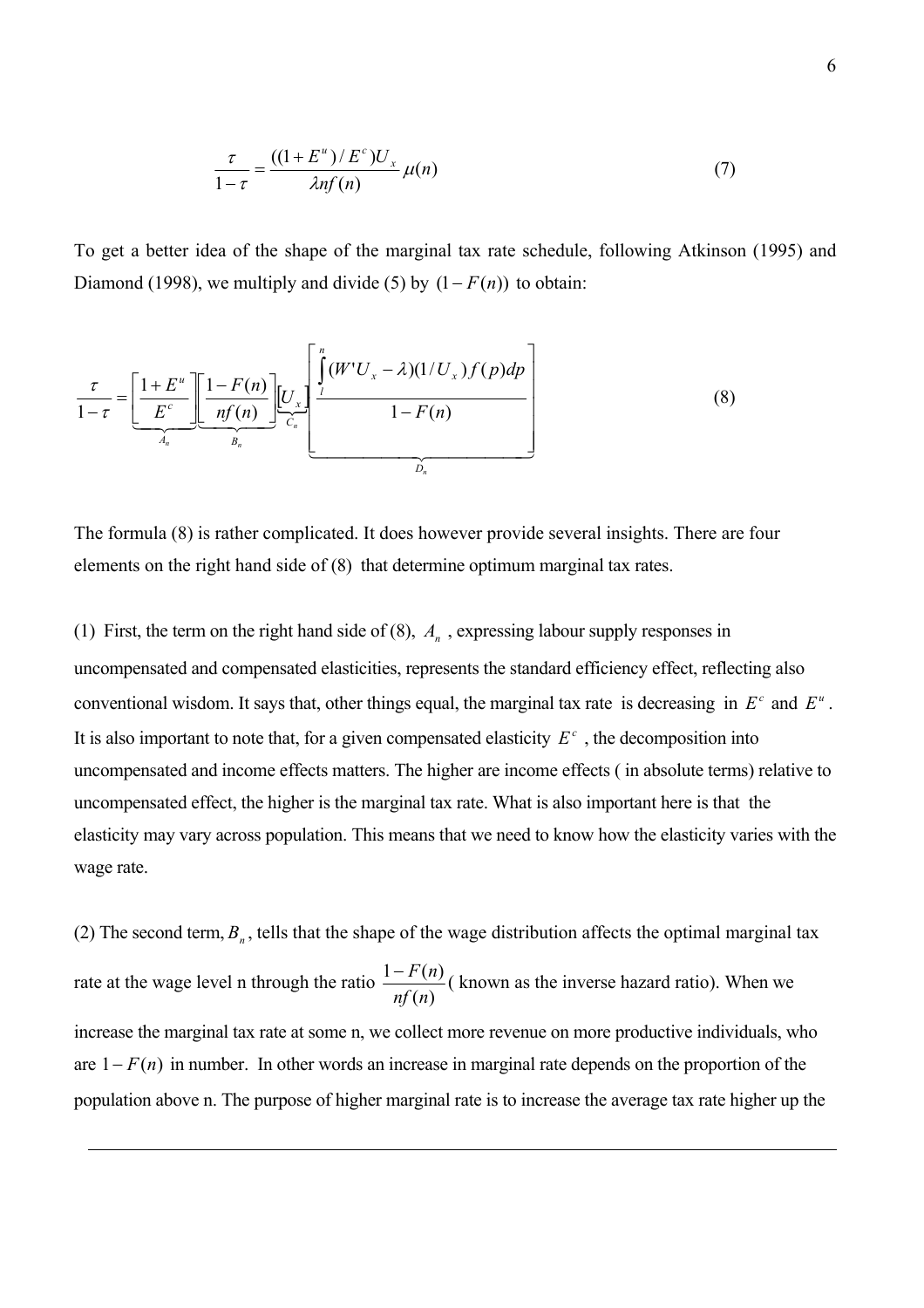$$
\frac{\tau}{1-\tau} = \frac{((1+E^u)/E^c)U_x}{\lambda n f(n)} \mu(n) \tag{7}
$$

To get a better idea of the shape of the marginal tax rate schedule, following Atkinson (1995) and Diamond (1998), we multiply and divide (5) by  $(1 - F(n))$  to obtain:

$$
\frac{\tau}{1-\tau} = \underbrace{\left[\frac{1+E^u}{E^c}\right] \left[\frac{1-F(n)}{nf(n)}\right] \left[\underbrace{U_x}_{C_n}\right] \left[\underbrace{U_x}_{1-F(n)}\right]}_{D_n} \tag{8}
$$

The formula (8) is rather complicated. It does however provide several insights. There are four elements on the right hand side of (8) that determine optimum marginal tax rates.

(1) First, the term on the right hand side of  $(8)$ ,  $A<sub>n</sub>$ , expressing labour supply responses in uncompensated and compensated elasticities, represents the standard efficiency effect, reflecting also conventional wisdom. It says that, other things equal, the marginal tax rate is decreasing in  $E^c$  and  $E^u$ . It is also important to note that, for a given compensated elasticity  $E<sup>c</sup>$ , the decomposition into uncompensated and income effects matters. The higher are income effects ( in absolute terms) relative to uncompensated effect, the higher is the marginal tax rate. What is also important here is that the elasticity may vary across population. This means that we need to know how the elasticity varies with the wage rate.

(2) The second term,  $B<sub>n</sub>$ , tells that the shape of the wage distribution affects the optimal marginal tax rate at the wage level n through the ratio  $(n)$  $1 - F(n)$ *nf n*  $-\frac{F(n)}{F(n)}$  (known as the inverse hazard ratio). When we increase the marginal tax rate at some n, we collect more revenue on more productive individuals, who are  $1 - F(n)$  in number. In other words an increase in marginal rate depends on the proportion of the population above n. The purpose of higher marginal rate is to increase the average tax rate higher up the

 $\overline{a}$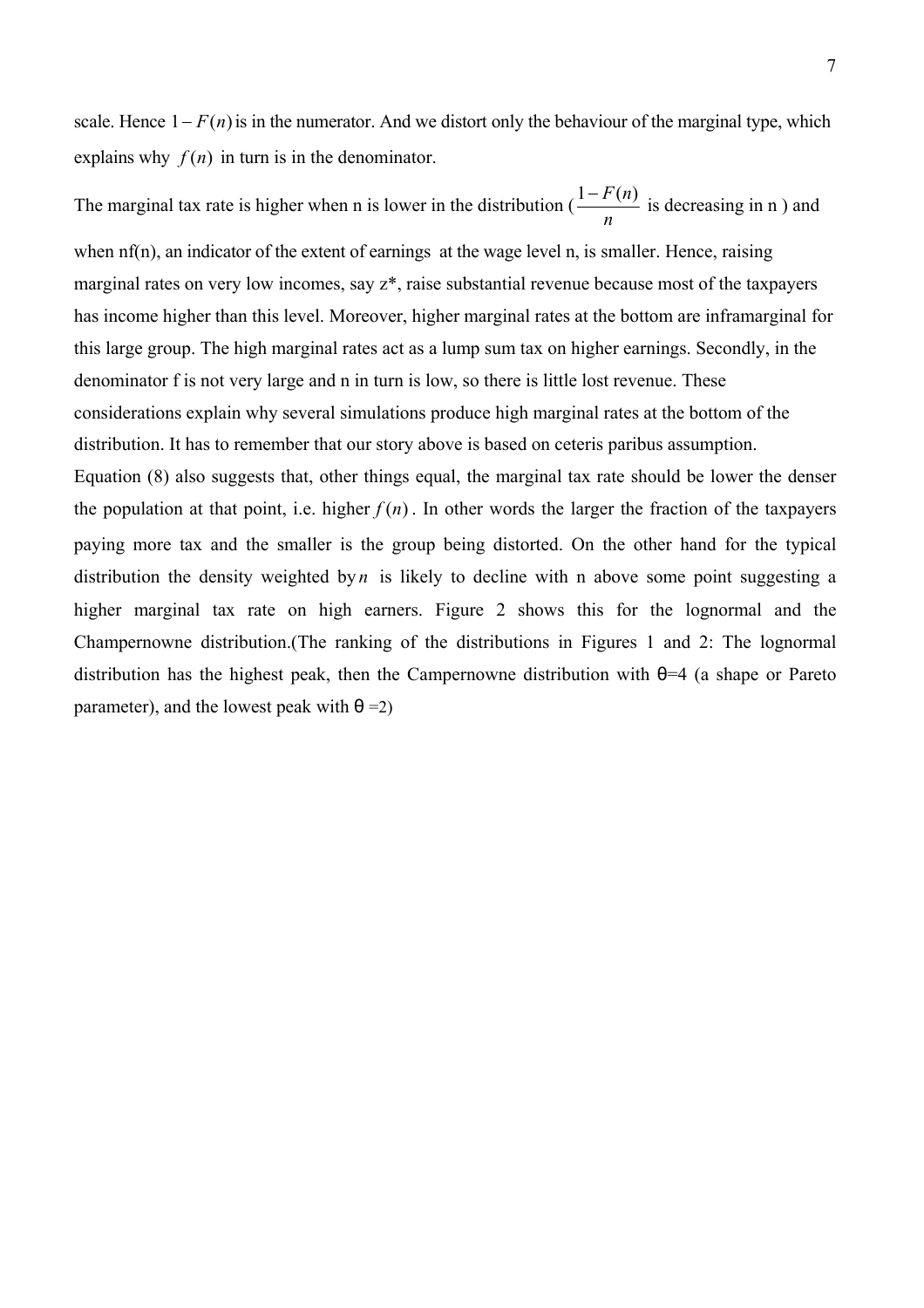scale. Hence  $1 - F(n)$  is in the numerator. And we distort only the behaviour of the marginal type, which explains why  $f(n)$  in turn is in the denominator.

The marginal tax rate is higher when n is lower in the distribution ( *n*  $\frac{1-F(n)}{n}$  is decreasing in n ) and when nf(n), an indicator of the extent of earnings at the wage level n, is smaller. Hence, raising marginal rates on very low incomes, say z\*, raise substantial revenue because most of the taxpayers has income higher than this level. Moreover, higher marginal rates at the bottom are inframarginal for this large group. The high marginal rates act as a lump sum tax on higher earnings. Secondly, in the denominator f is not very large and n in turn is low, so there is little lost revenue. These considerations explain why several simulations produce high marginal rates at the bottom of the distribution. It has to remember that our story above is based on ceteris paribus assumption.

Equation (8) also suggests that, other things equal, the marginal tax rate should be lower the denser the population at that point, i.e. higher  $f(n)$ . In other words the larger the fraction of the taxpayers paying more tax and the smaller is the group being distorted. On the other hand for the typical distribution the density weighted by *n* is likely to decline with n above some point suggesting a higher marginal tax rate on high earners. Figure 2 shows this for the lognormal and the Champernowne distribution.(The ranking of the distributions in Figures 1 and 2: The lognormal distribution has the highest peak, then the Campernowne distribution with  $\theta$ =4 (a shape or Pareto parameter), and the lowest peak with  $\theta = 2$ )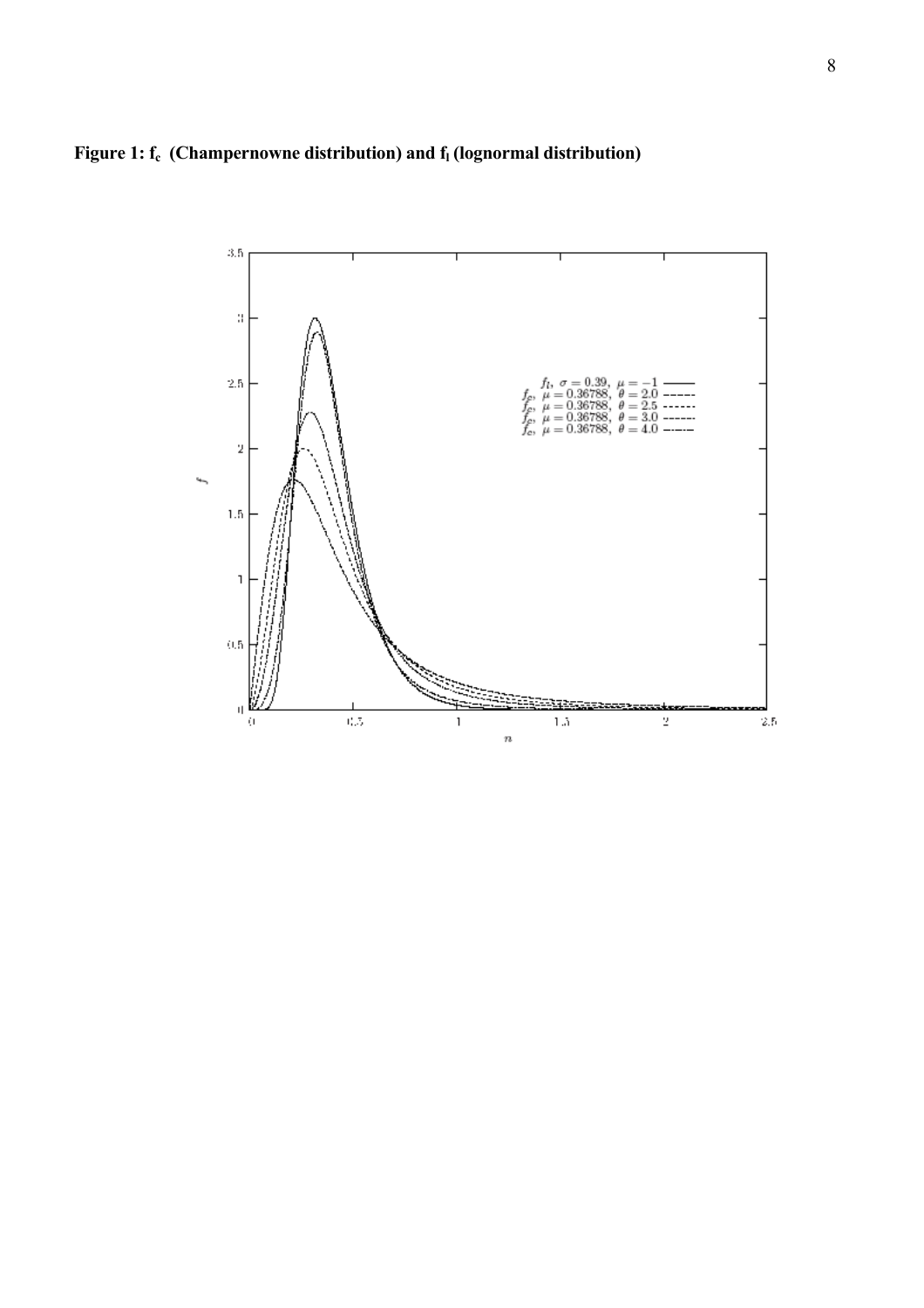

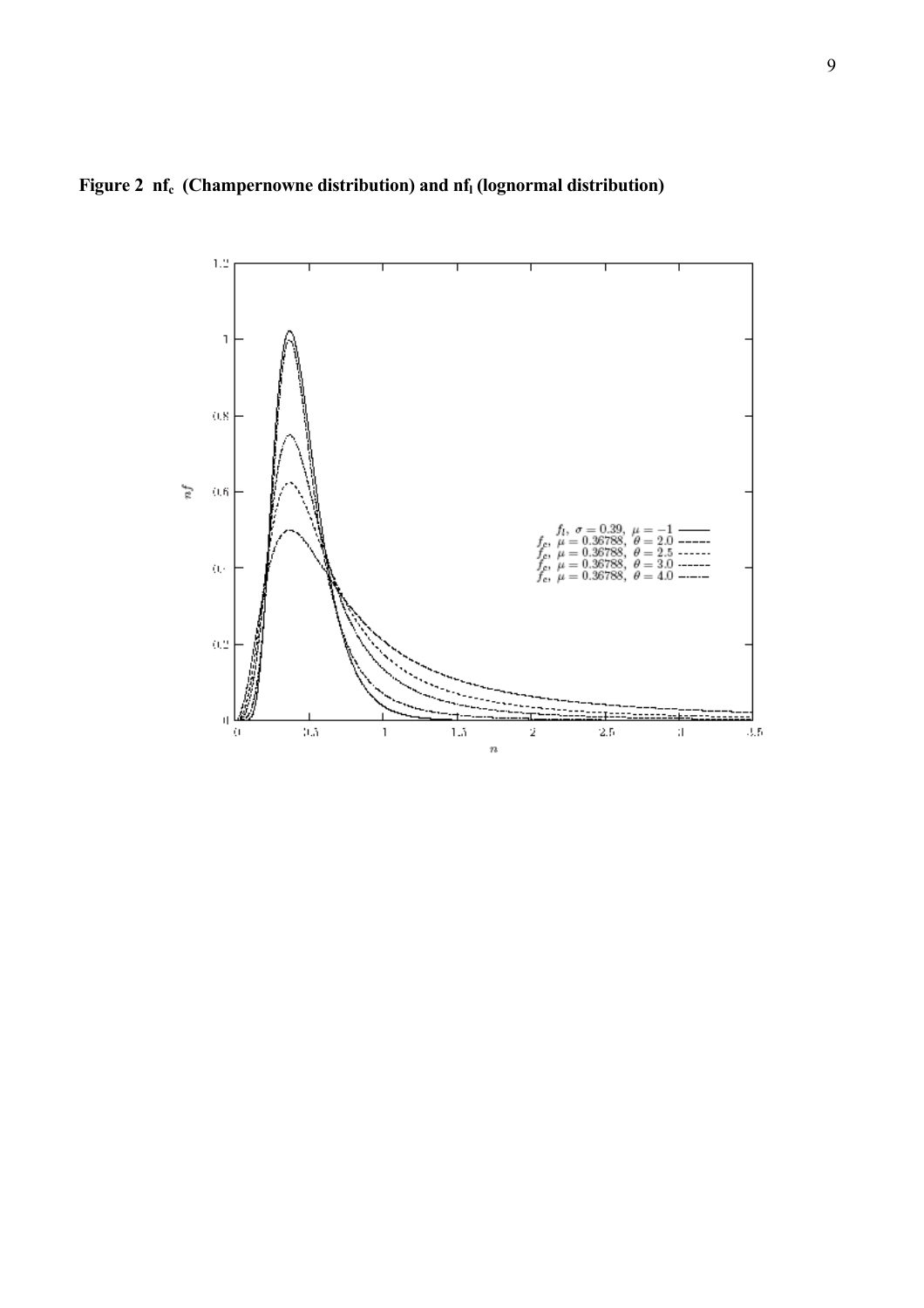

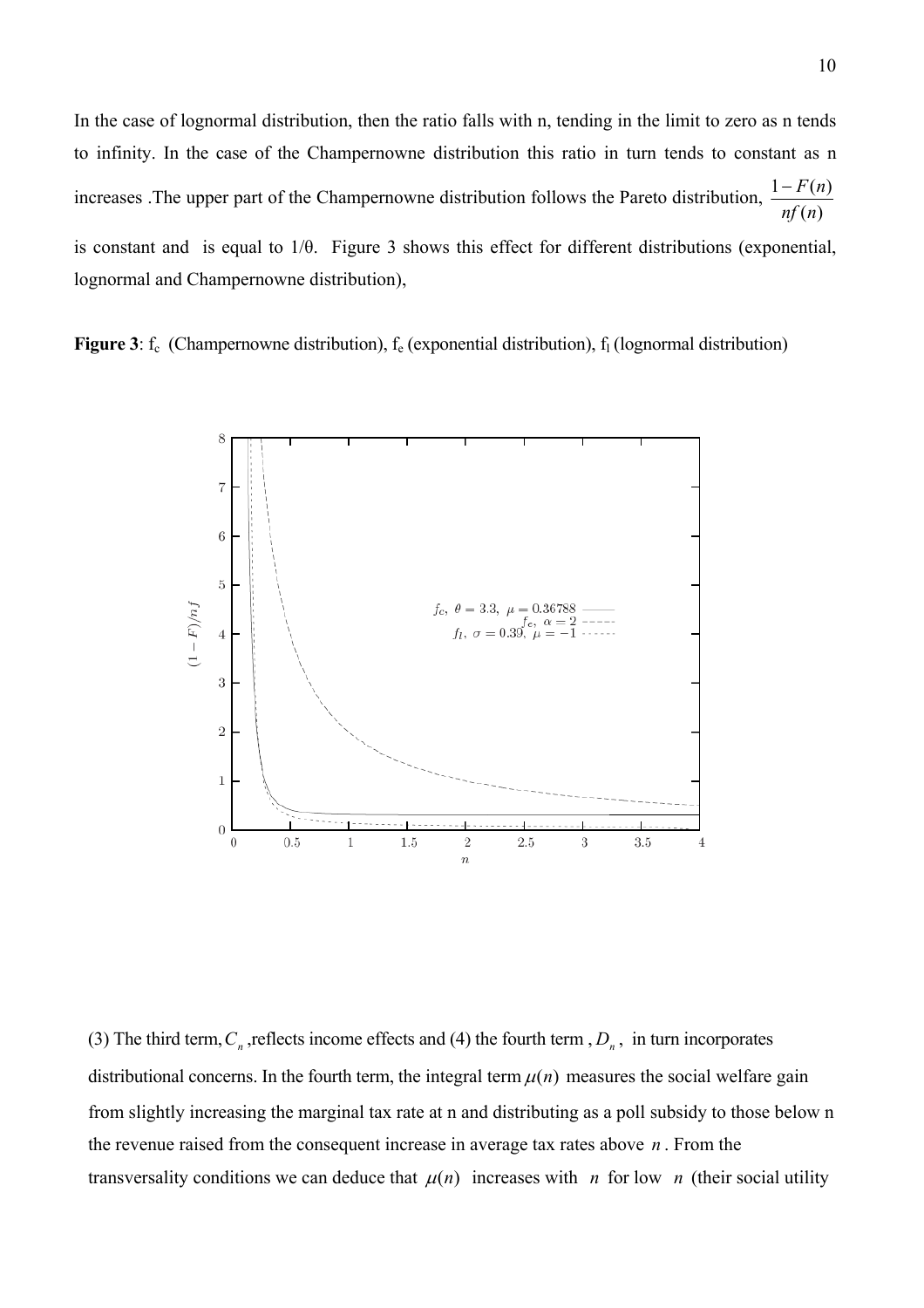In the case of lognormal distribution, then the ratio falls with n, tending in the limit to zero as n tends to infinity. In the case of the Champernowne distribution this ratio in turn tends to constant as n increases .The upper part of the Champernowne distribution follows the Pareto distribution,  $\frac{1-F(n)}{nf(n)}$ *nf n*  $-F(n)$ is constant and is equal to 1/θ. Figure 3 shows this effect for different distributions (exponential, lognormal and Champernowne distribution),

**Figure 3**:  $f_c$  (Champernowne distribution),  $f_e$  (exponential distribution),  $f_l$  (lognormal distribution)



(3) The third term,  $C_n$ , reflects income effects and (4) the fourth term,  $D_n$ , in turn incorporates distributional concerns. In the fourth term, the integral term  $\mu(n)$  measures the social welfare gain from slightly increasing the marginal tax rate at n and distributing as a poll subsidy to those below n the revenue raised from the consequent increase in average tax rates above  $n$ . From the transversality conditions we can deduce that  $\mu(n)$  increases with *n* for low *n* (their social utility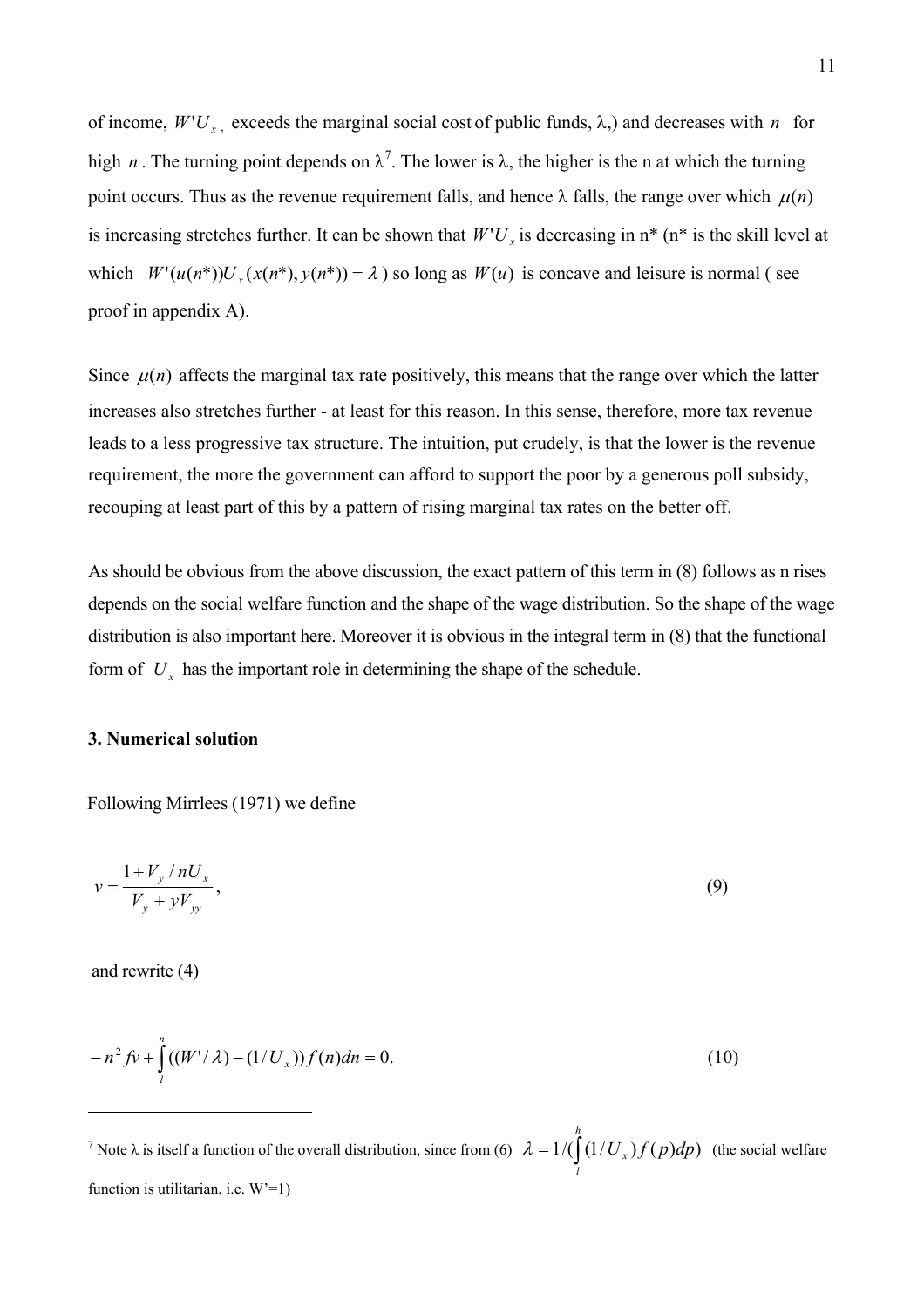of income,  $W'U_x$ , exceeds the marginal social cost of public funds,  $\lambda$ ,) and decreases with *n* for high *n*. The turning point depends on  $\lambda^7$  $\lambda^7$ . The lower is  $\lambda$ , the higher is the n at which the turning point occurs. Thus as the revenue requirement falls, and hence  $\lambda$  falls, the range over which  $\mu(n)$ is increasing stretches further. It can be shown that  $W'U_x$  is decreasing in  $n^*$  ( $n^*$  is the skill level at which  $W'(u(n^*))U_x(x(n^*), y(n^*)) = \lambda$  so long as  $W(u)$  is concave and leisure is normal (see proof in appendix A).

Since  $\mu(n)$  affects the marginal tax rate positively, this means that the range over which the latter increases also stretches further - at least for this reason. In this sense, therefore, more tax revenue leads to a less progressive tax structure. The intuition, put crudely, is that the lower is the revenue requirement, the more the government can afford to support the poor by a generous poll subsidy, recouping at least part of this by a pattern of rising marginal tax rates on the better off.

form of  $U_x$  has the important role in determining the shape of the schedule. As should be obvious from the above discussion, the exact pattern of this term in (8) follows as n rises depends on the social welfare function and the shape of the wage distribution. So the shape of the wage distribution is also important here. Moreover it is obvious in the integral term in (8) that the functional

# **3. Numerical solution**

Following Mirrlees (1971) we define

$$
v = \frac{1 + V_y / nU_x}{V_y + yV_{yy}},
$$
\n(9)

and rewrite (4)

 $\overline{a}$ 

$$
-n^2 f v + \int_{l}^{n} ((W' / \lambda) - (1 / U_x)) f(n) dn = 0.
$$
 (10)

<span id="page-11-0"></span><sup>&</sup>lt;sup>7</sup> Note  $\lambda$  is itself a function of the overall distribution, since from (6)  $\lambda = 1/(\int (1/U_x) f(p) dp)$  (the social welfare function is utilitarian, i.e.  $W'=1$ ) *h l*  $\lambda = 1/(\left( \frac{1}{U_x} \right) f(p) dp)$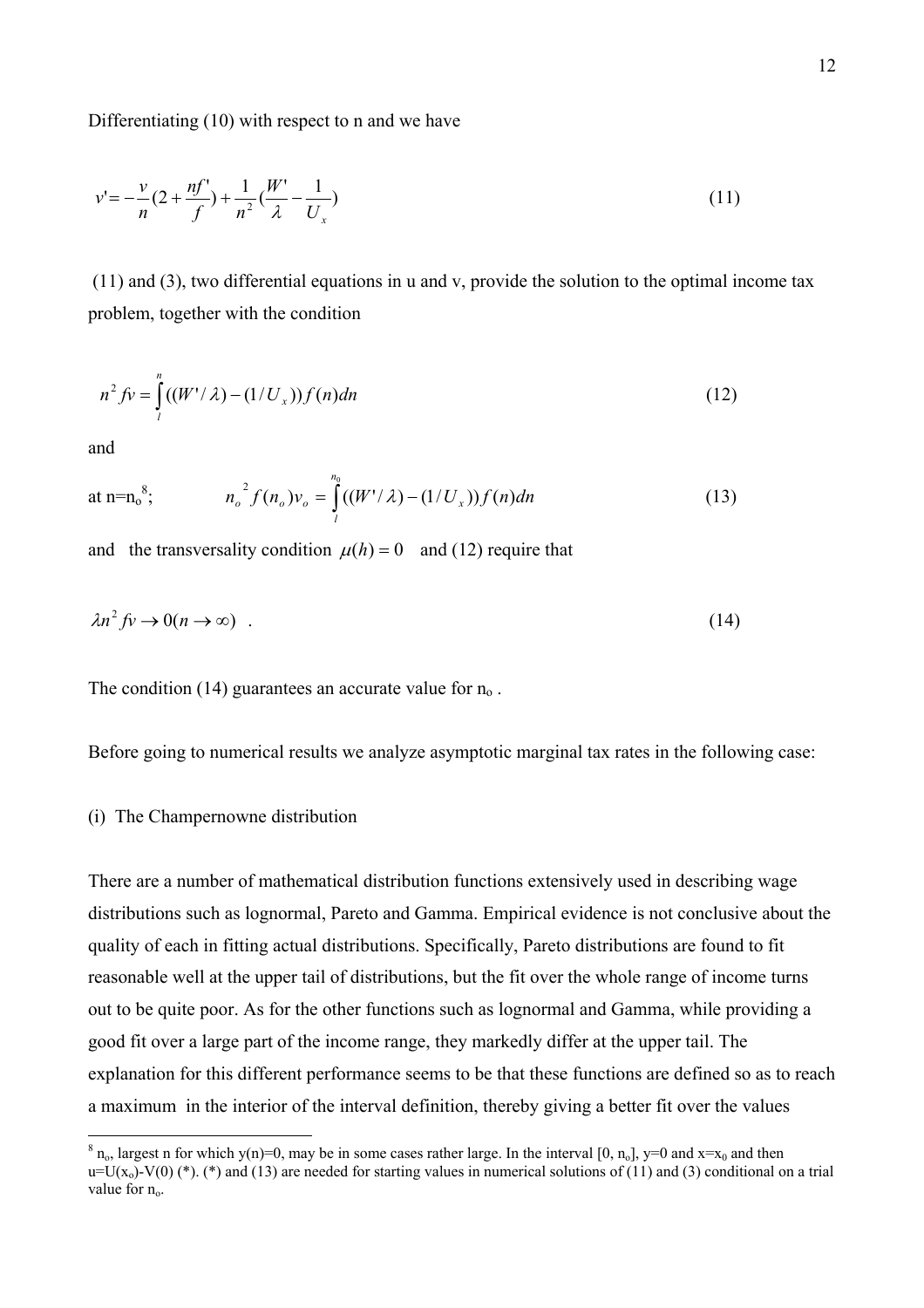Differentiating (10) with respect to n and we have

$$
v' = -\frac{v}{n}(2 + \frac{nf'}{f}) + \frac{1}{n^2}(\frac{W'}{\lambda} - \frac{1}{U_x})
$$
\n(11)

 (11) and (3), two differential equations in u and v, provide the solution to the optimal income tax problem, together with the condition

$$
n^2 f v = \int_{l}^{n} ((W' / \lambda) - (1 / U_x)) f(n) dn
$$
\n(12)

and

 $\overline{a}$ 

at n=n<sub>0</sub><sup>8</sup>, 
$$
n_o^2 f(n_o) v_o = \int_{l}^{n_0} ((W' / \lambda) - (1 / U_x)) f(n) dn
$$
 (13)

and the transversality condition  $\mu(h) = 0$  and (12) require that

$$
\lambda n^2 f \circ \to 0 (n \to \infty) \tag{14}
$$

The condition (14) guarantees an accurate value for  $n_0$ .

Before going to numerical results we analyze asymptotic marginal tax rates in the following case:

#### (i) The Champernowne distribution

There are a number of mathematical distribution functions extensively used in describing wage distributions such as lognormal, Pareto and Gamma. Empirical evidence is not conclusive about the quality of each in fitting actual distributions. Specifically, Pareto distributions are found to fit reasonable well at the upper tail of distributions, but the fit over the whole range of income turns out to be quite poor. As for the other functions such as lognormal and Gamma, while providing a good fit over a large part of the income range, they markedly differ at the upper tail. The explanation for this different performance seems to be that these functions are defined so as to reach a maximum in the interior of the interval definition, thereby giving a better fit over the values

<span id="page-12-0"></span> $8 n_0$ , largest n for which y(n)=0, may be in some cases rather large. In the interval [0, n<sub>0</sub>], y=0 and x=x<sub>0</sub> and then  $u=U(x_0)-V(0)$  (\*). (\*) and (13) are needed for starting values in numerical solutions of (11) and (3) conditional on a trial value for  $n_0$ .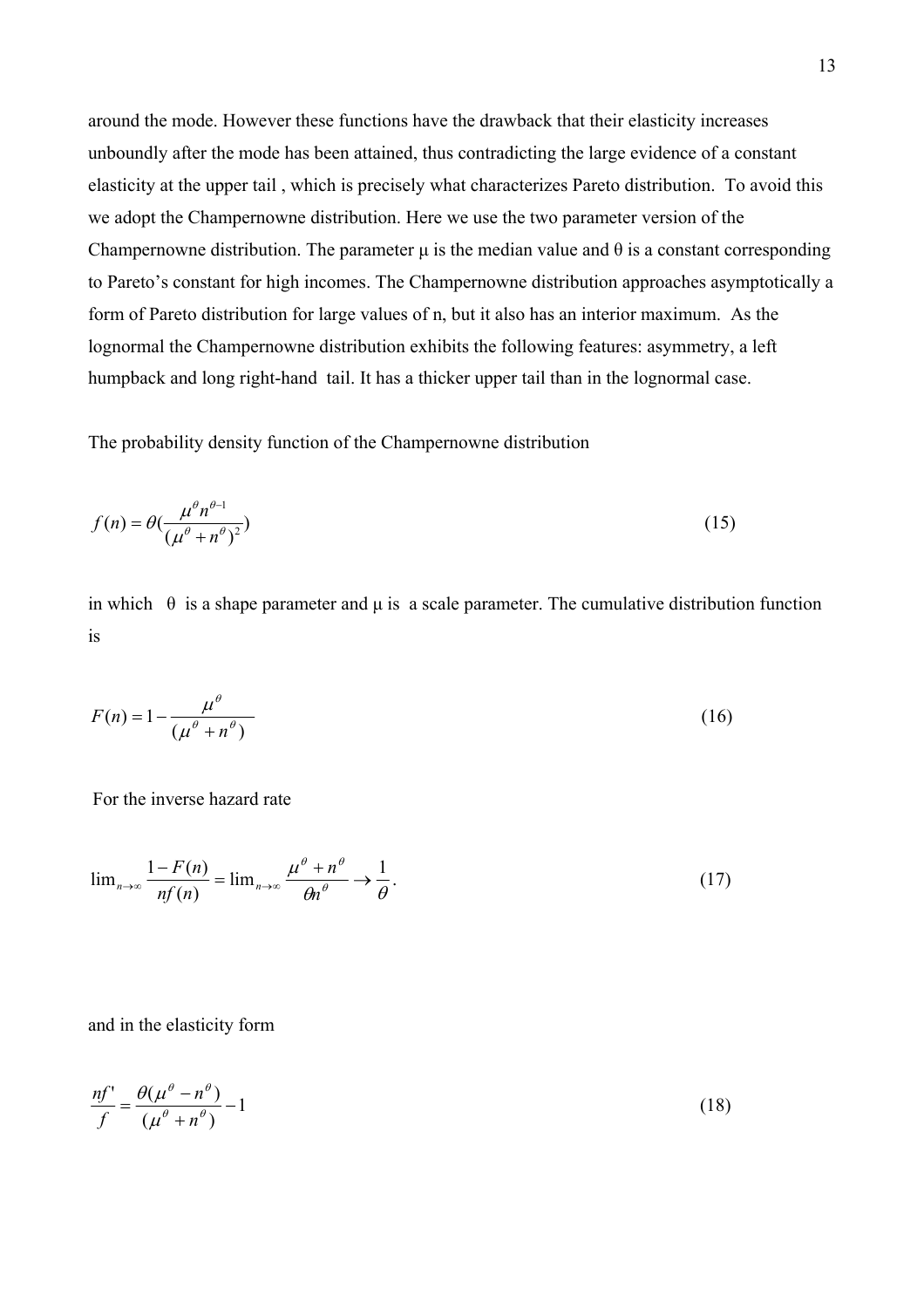around the mode. However these functions have the drawback that their elasticity increases unboundly after the mode has been attained, thus contradicting the large evidence of a constant elasticity at the upper tail , which is precisely what characterizes Pareto distribution. To avoid this we adopt the Champernowne distribution. Here we use the two parameter version of the Champernowne distribution. The parameter  $\mu$  is the median value and  $\theta$  is a constant corresponding to Pareto's constant for high incomes. The Champernowne distribution approaches asymptotically a form of Pareto distribution for large values of n, but it also has an interior maximum. As the lognormal the Champernowne distribution exhibits the following features: asymmetry, a left humpback and long right-hand tail. It has a thicker upper tail than in the lognormal case.

The probability density function of the Champernowne distribution

$$
f(n) = \theta \left(\frac{\mu^{\theta} n^{\theta - 1}}{\left(\mu^{\theta} + n^{\theta}\right)^2}\right) \tag{15}
$$

in which  $\theta$  is a shape parameter and  $\mu$  is a scale parameter. The cumulative distribution function is

$$
F(n) = 1 - \frac{\mu^{\theta}}{\left(\mu^{\theta} + n^{\theta}\right)}
$$
\n<sup>(16)</sup>

For the inverse hazard rate

$$
\lim_{n \to \infty} \frac{1 - F(n)}{nf(n)} = \lim_{n \to \infty} \frac{\mu^{\theta} + n^{\theta}}{\theta n^{\theta}} \to \frac{1}{\theta}.
$$
 (17)

and in the elasticity form

$$
\frac{n f'}{f} = \frac{\theta(\mu^{\theta} - n^{\theta})}{(\mu^{\theta} + n^{\theta})} - 1\tag{18}
$$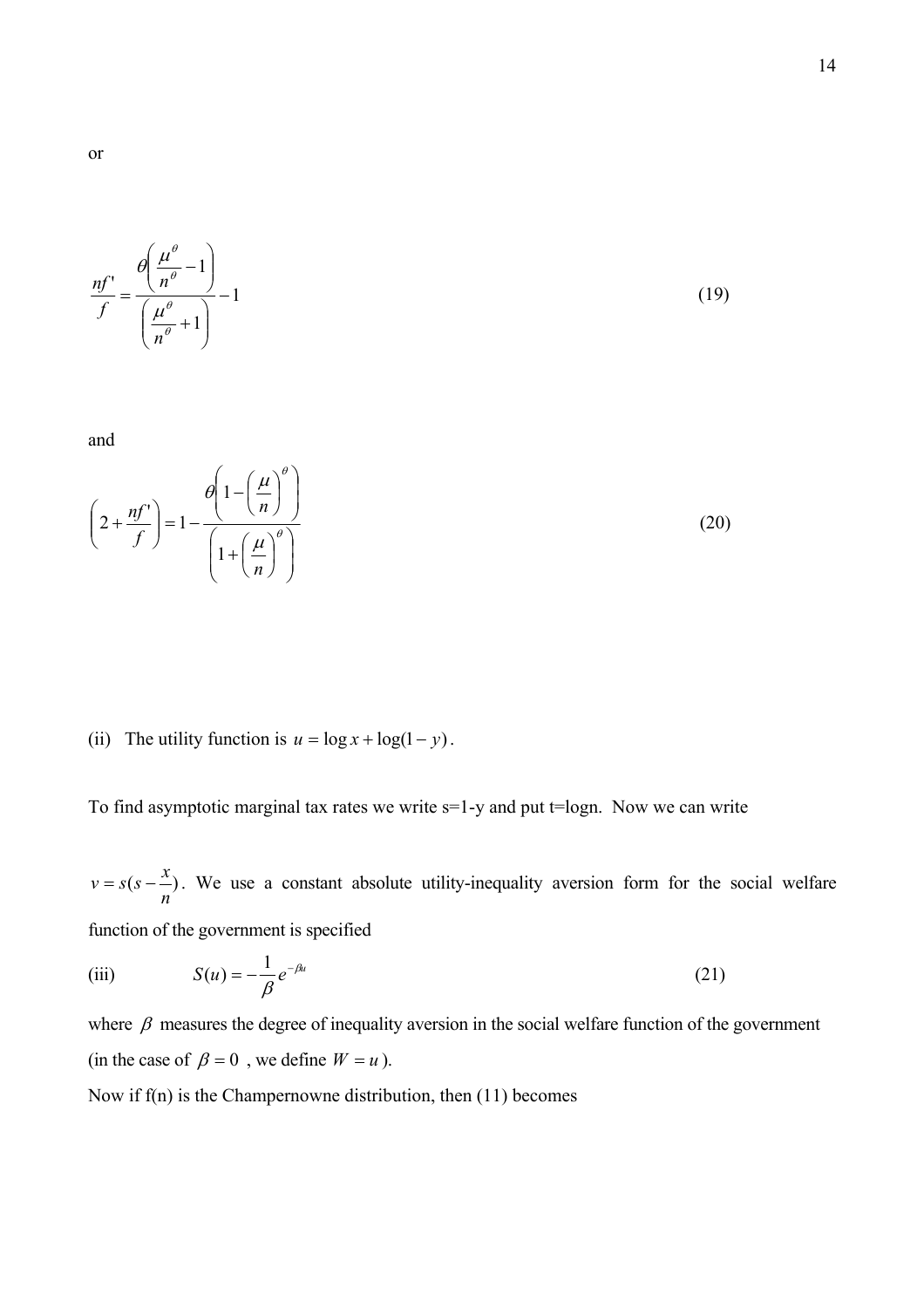$$
\frac{nf'}{f} = \frac{\theta\left(\frac{\mu^{\theta}}{n^{\theta}} - 1\right)}{\left(\frac{\mu^{\theta}}{n^{\theta}} + 1\right)} - 1\tag{19}
$$

and

$$
\left(2 + \frac{nf'}{f}\right) = 1 - \frac{\theta\left(1 - \left(\frac{\mu}{n}\right)^{\theta}\right)}{\left(1 + \left(\frac{\mu}{n}\right)^{\theta}\right)}
$$
\n(20)

(ii) The utility function is  $u = \log x + \log(1 - y)$ .

To find asymptotic marginal tax rates we write s=1-y and put t=logn. Now we can write

 $(s-\frac{\lambda}{\lambda})$ *n*  $v = s(s - \frac{x}{s})$ . We use a constant absolute utility-inequality aversion form for the social welfare function of the government is specified

(iii) 
$$
S(u) = -\frac{1}{\beta} e^{-\beta u}
$$
 (21)

where  $\beta$  measures the degree of inequality aversion in the social welfare function of the government (in the case of  $\beta = 0$ , we define  $W = u$ ).

Now if f(n) is the Champernowne distribution, then (11) becomes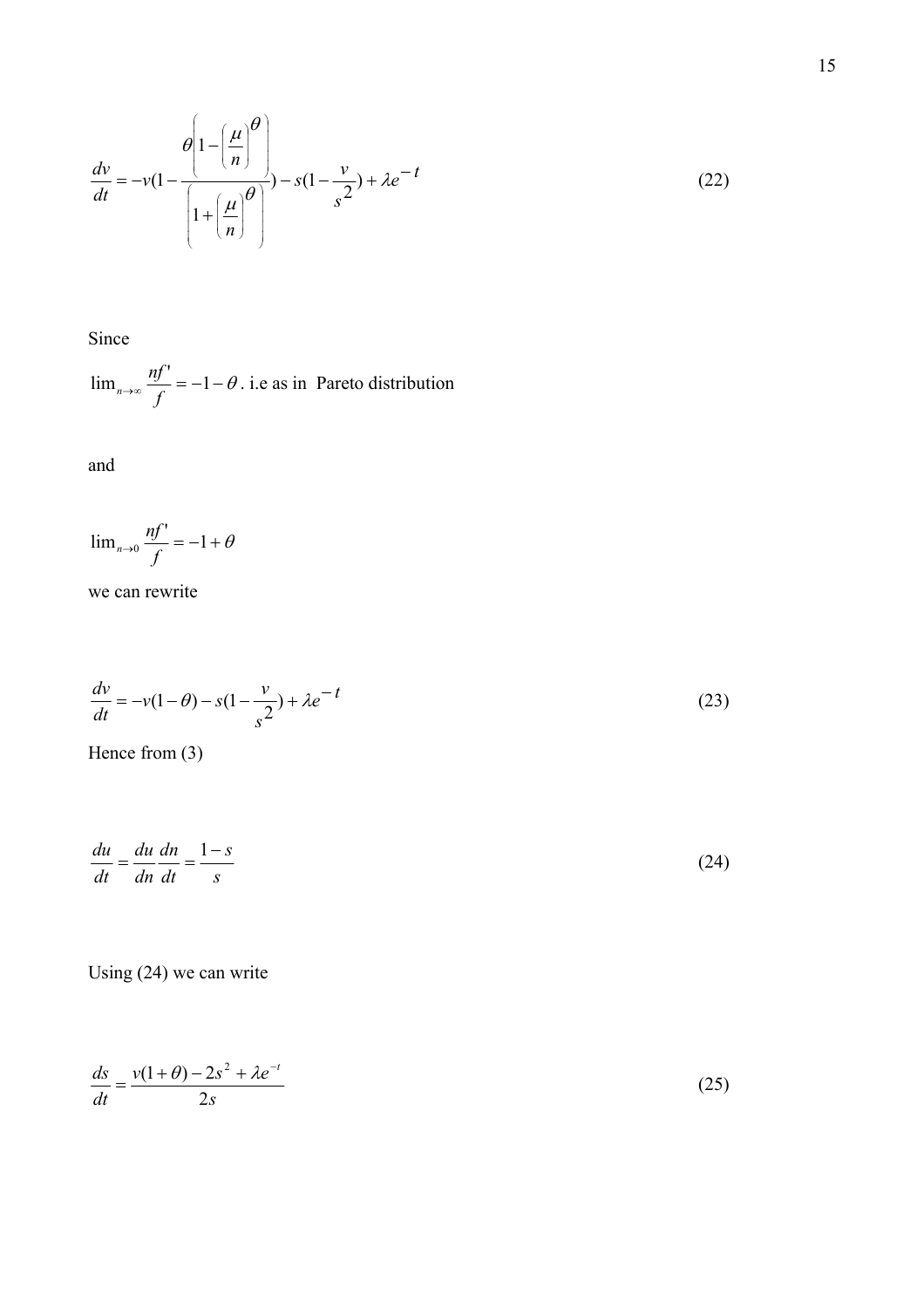$$
\frac{dv}{dt} = -v(1 - \frac{\theta \left(1 - \left(\frac{\mu}{n}\right)^{\theta}\right)}{\left(1 + \left(\frac{\mu}{n}\right)^{\theta}\right)} - s(1 - \frac{v}{s^2}) + \lambda e^{-t}
$$
\n(22)

Since

 $\lim_{n\to\infty}\frac{nf'}{f}=-1-\theta$  $\lim_{n\to\infty} \frac{nf'}{f} = -1 - \theta$ . i.e as in Pareto distribution

and

$$
\lim_{n\to 0}\frac{nf'}{f} = -1 + \theta
$$

we can rewrite

$$
\frac{dv}{dt} = -v(1-\theta) - s(1-\frac{v}{s^2}) + \lambda e^{-t}
$$
\n(23)

Hence from (3)

$$
\frac{du}{dt} = \frac{du}{dn}\frac{dn}{dt} = \frac{1-s}{s}
$$
\n(24)

Using (24) we can write

$$
\frac{ds}{dt} = \frac{v(1+\theta) - 2s^2 + \lambda e^{-t}}{2s}
$$
\n(25)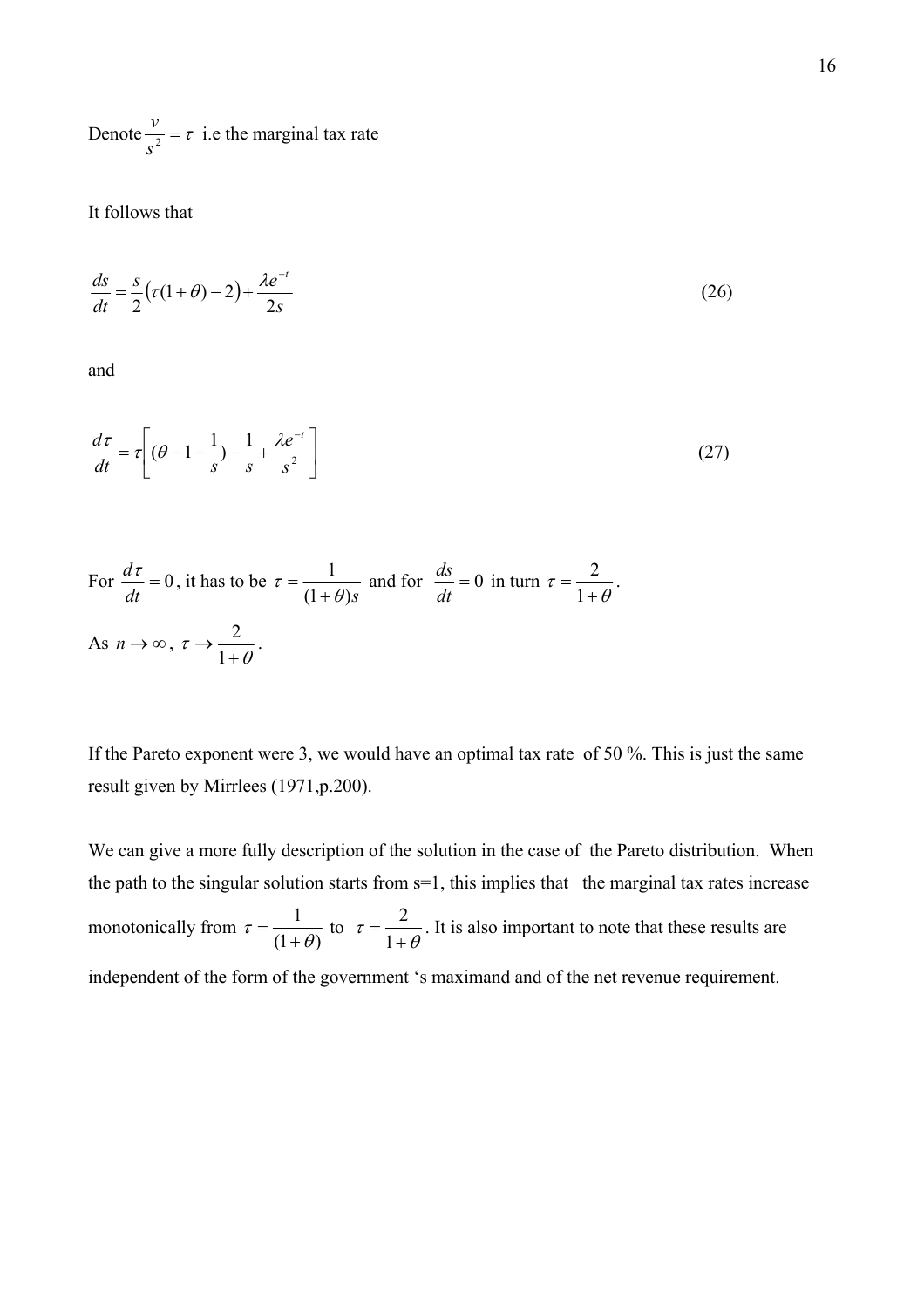Denote  $\frac{v}{s^2} = \tau$  $\frac{v}{\lambda} = \tau$  i.e the marginal tax rate

It follows that

$$
\frac{ds}{dt} = \frac{s}{2}(\tau(1+\theta) - 2) + \frac{\lambda e^{-t}}{2s}
$$
\n(26)

and

$$
\frac{d\tau}{dt} = \tau \left[ (\theta - 1 - \frac{1}{s}) - \frac{1}{s} + \frac{\lambda e^{-t}}{s^2} \right]
$$
\n(27)

For 
$$
\frac{d\tau}{dt} = 0
$$
, it has to be  $\tau = \frac{1}{(1+\theta)s}$  and for  $\frac{ds}{dt} = 0$  in turn  $\tau = \frac{2}{1+\theta}$ .  
As  $n \to \infty$ ,  $\tau \to \frac{2}{1+\theta}$ .

If the Pareto exponent were 3, we would have an optimal tax rate of 50 %. This is just the same result given by Mirrlees (1971,p.200).

We can give a more fully description of the solution in the case of the Pareto distribution. When the path to the singular solution starts from s=1, this implies that the marginal tax rates increase monotonically from  $\tau = \frac{1}{(1 + \theta)}$  $\tau = \frac{1}{(1+\theta)}$  to  $\tau = \frac{2}{1+\theta}$ . It is also important to note that these results are independent of the form of the government 's maximand and of the net revenue requirement.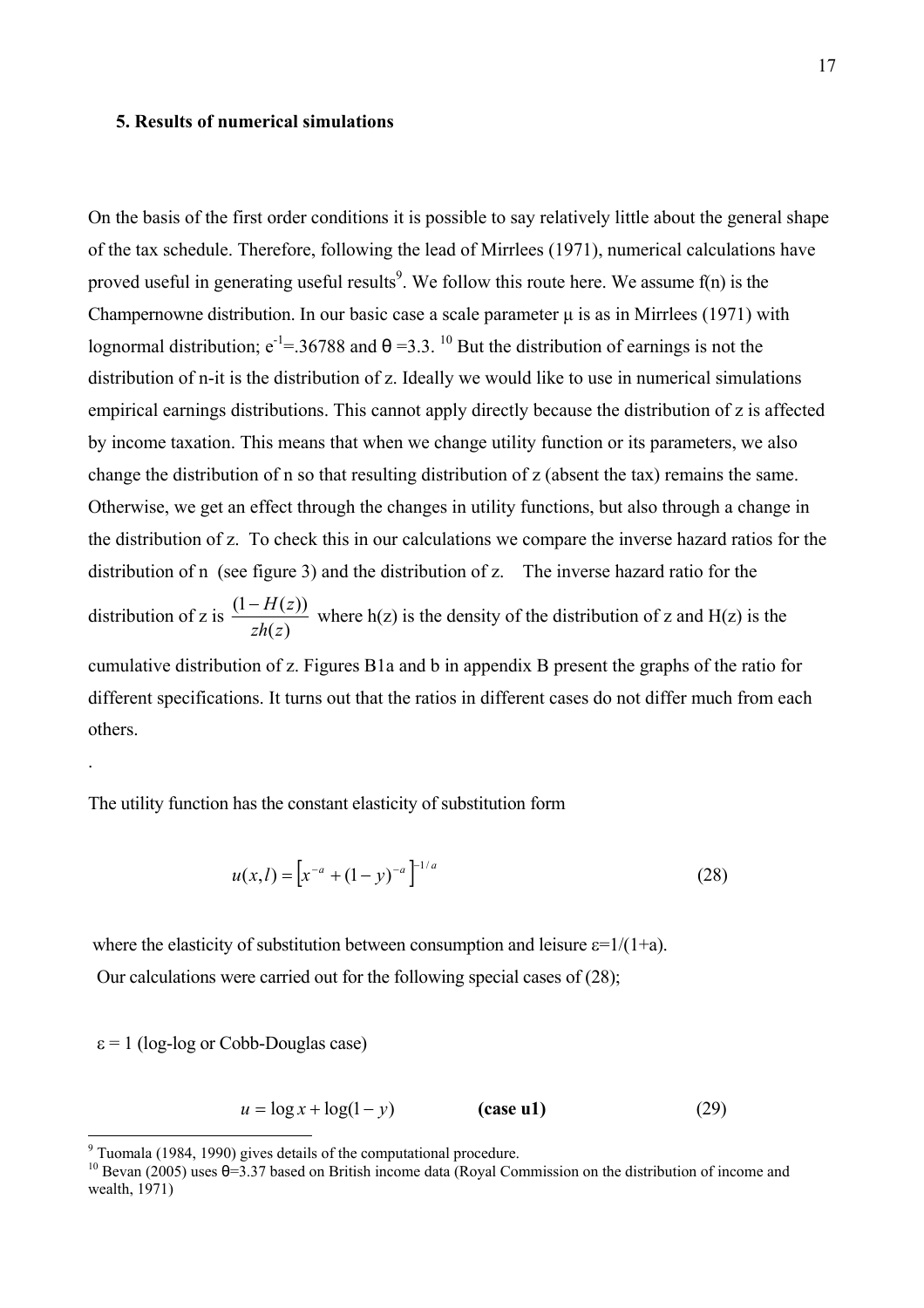#### **5. Results of numerical simulations**

On the basis of the first order conditions it is possible to say relatively little about the general shape of the tax schedule. Therefore, following the lead of Mirrlees (1971), numerical calculations have proved useful in generating useful results<sup>[9](#page-17-0)</sup>. We follow this route here. We assume f(n) is the Champernowne distribution. In our basic case a scale parameter  $\mu$  is as in Mirrlees (1971) with lognormal distribution;  $e^{-1} = 36788$  and  $\theta = 3.3$ . <sup>10</sup> But the distribution of earnings is not the distribution of n-it is the distribution of z. Ideally we would like to use in numerical simulations empirical earnings distributions. This cannot apply directly because the distribution of z is affected by income taxation. This means that when we change utility function or its parameters, we also change the distribution of n so that resulting distribution of z (absent the tax) remains the same. Otherwise, we get an effect through the changes in utility functions, but also through a change in the distribution of z. To check this in our calculations we compare the inverse hazard ratios for the distribution of n (see figure 3) and the distribution of z. The inverse hazard ratio for the distribution of z is  $(z)$  $(1 - H(z))$ *zh z*  $-\frac{H(z)}{dz}$  where h(z) is the density of the distribution of z and H(z) is the cumulative distribution of z. Figures B1a and b in appendix B present the graphs of the ratio for different specifications. It turns out that the ratios in different cases do not differ much from each

.

The utility function has the constant elasticity of substitution form

$$
u(x,l) = \left[x^{-a} + (1-y)^{-a}\right]^{-1/a} \tag{28}
$$

where the elasticity of substitution between consumption and leisure  $\varepsilon=1/(1+a)$ . Our calculations were carried out for the following special cases of (28);

 $\epsilon$  = 1 (log-log or Cobb-Douglas case)

others.

$$
u = \log x + \log(1 - y)
$$
 (case u1) (29)

<sup>-&</sup>lt;br>9

<span id="page-17-1"></span><span id="page-17-0"></span><sup>&</sup>lt;sup>10</sup> Bevan (2005) uses  $\theta = 3.37$  based on British income data (Royal Commission on the distribution of income and wealth,  $1971$ )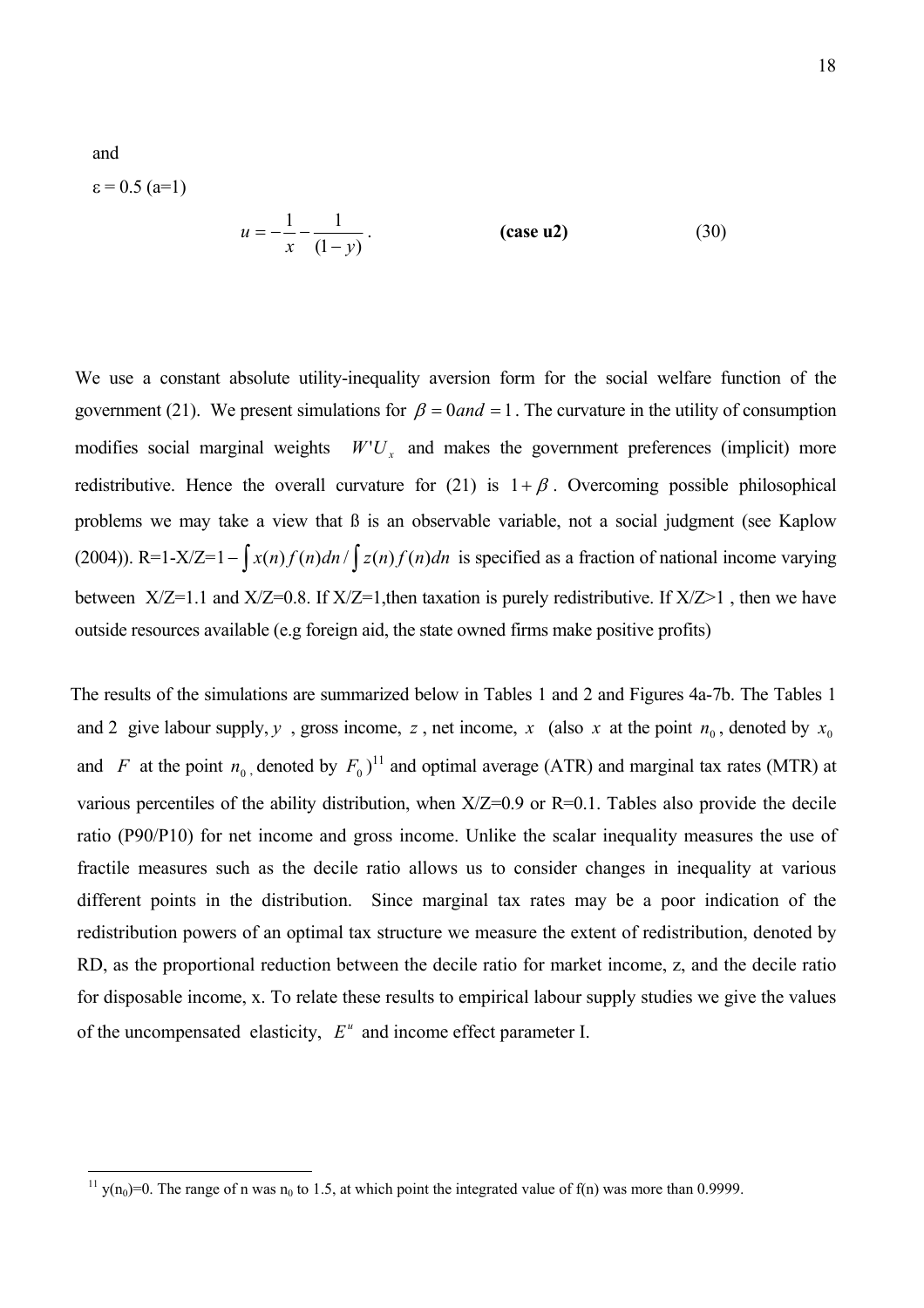$$
ε = 0.5 (a=1)
$$
\n
$$
u = -\frac{1}{x} - \frac{1}{(1-y)}.
$$
\n(case u2) (30)

and

We use a constant absolute utility-inequality aversion form for the social welfare function of the government (21). We present simulations for  $\beta = 0$  and  $\alpha = 1$ . The curvature in the utility of consumption modifies social marginal weights  $W'U_x$  and makes the government preferences (implicit) more redistributive. Hence the overall curvature for (21) is  $1 + \beta$ . Overcoming possible philosophical problems we may take a view that ß is an observable variable, not a social judgment (see Kaplow (2004)). R=1-X/Z=1 –  $\int x(n)f(n)dn / \int z(n)f(n)dn$  is specified as a fraction of national income varying between  $X/Z=1.1$  and  $X/Z=0.8$ . If  $X/Z=1$ , then taxation is purely redistributive. If  $X/Z>1$ , then we have outside resources available (e.g foreign aid, the state owned firms make positive profits)

The results of the simulations are summarized below in Tables 1 and 2 and Figures 4a-7b. The Tables 1 and 2 give labour supply, *y*, gross income, *z*, net income, *x* (also *x* at the point  $n_0$ , denoted by  $x_0$ and *F* at the point  $n_0$ , denoted by  $F_0$ <sup>11</sup> and optimal average (ATR) and marginal tax rates (MTR) at of the uncompensated elasticity,  $E^u$  and income effect parameter I. various percentiles of the ability distribution, when X/Z=0.9 or R=0.1. Tables also provide the decile ratio (P90/P10) for net income and gross income. Unlike the scalar inequality measures the use of fractile measures such as the decile ratio allows us to consider changes in inequality at various different points in the distribution. Since marginal tax rates may be a poor indication of the redistribution powers of an optimal tax structure we measure the extent of redistribution, denoted by RD, as the proportional reduction between the decile ratio for market income, z, and the decile ratio for disposable income, x. To relate these results to empirical labour supply studies we give the values

<span id="page-18-0"></span> $\frac{11}{11}$  y(n<sub>0</sub>)=0. The range of n was n<sub>0</sub> to 1.5, at which point the integrated value of f(n) was more than 0.9999.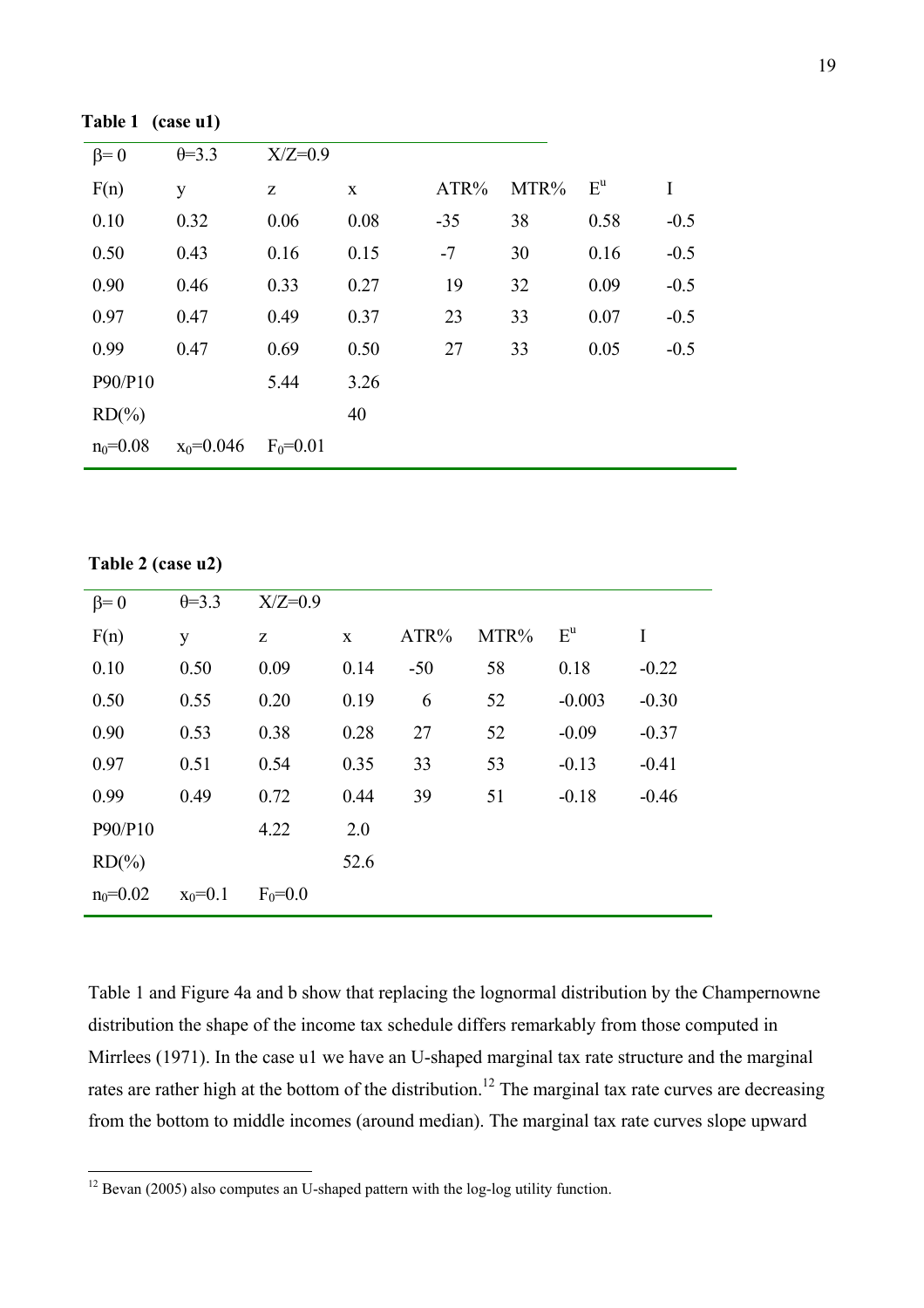| $\beta = 0$  | $\theta = 3.3$ | $X/Z=0.9$    |      |       |      |                  |        |
|--------------|----------------|--------------|------|-------|------|------------------|--------|
| F(n)         | y              | Z            | X    | ATR%  | MTR% | $E^{\mathrm{u}}$ | I      |
| 0.10         | 0.32           | 0.06         | 0.08 | $-35$ | 38   | 0.58             | $-0.5$ |
| 0.50         | 0.43           | 0.16         | 0.15 | $-7$  | 30   | 0.16             | $-0.5$ |
| 0.90         | 0.46           | 0.33         | 0.27 | 19    | 32   | 0.09             | $-0.5$ |
| 0.97         | 0.47           | 0.49         | 0.37 | 23    | 33   | 0.07             | $-0.5$ |
| 0.99         | 0.47           | 0.69         | 0.50 | 27    | 33   | 0.05             | $-0.5$ |
| P90/P10      |                | 5.44         | 3.26 |       |      |                  |        |
| $RD(\%)$     |                |              | 40   |       |      |                  |        |
| $n_0 = 0.08$ | $x_0 = 0.046$  | $F_0 = 0.01$ |      |       |      |                  |        |

**Table 1 (case u1)** 

**Table 2 (case u2)** 

 $\overline{a}$ 

| $\beta = 0$  | $\theta = 3.3$ | $X/Z=0.9$   |              |       |      |          |         |
|--------------|----------------|-------------|--------------|-------|------|----------|---------|
| F(n)         | y              | Z           | $\mathbf{X}$ | ATR%  | MTR% | $E^u$    | I       |
| 0.10         | 0.50           | 0.09        | 0.14         | $-50$ | 58   | 0.18     | $-0.22$ |
| 0.50         | 0.55           | 0.20        | 0.19         | 6     | 52   | $-0.003$ | $-0.30$ |
| 0.90         | 0.53           | 0.38        | 0.28         | 27    | 52   | $-0.09$  | $-0.37$ |
| 0.97         | 0.51           | 0.54        | 0.35         | 33    | 53   | $-0.13$  | $-0.41$ |
| 0.99         | 0.49           | 0.72        | 0.44         | 39    | 51   | $-0.18$  | $-0.46$ |
| P90/P10      |                | 4.22        | 2.0          |       |      |          |         |
| $RD(\% )$    |                |             | 52.6         |       |      |          |         |
| $n_0 = 0.02$ | $x_0=0.1$      | $F_0 = 0.0$ |              |       |      |          |         |
|              |                |             |              |       |      |          |         |

Table 1 and Figure 4a and b show that replacing the lognormal distribution by the Champernowne distribution the shape of the income tax schedule differs remarkably from those computed in Mirrlees (1971). In the case u1 we have an U-shaped marginal tax rate structure and the marginal rates are rather high at the bottom of the distribution.<sup>12</sup> The marginal tax rate curves are decreasing from the bottom to middle incomes (around median). The marginal tax rate curves slope upward

<span id="page-19-0"></span> $12$  Bevan (2005) also computes an U-shaped pattern with the log-log utility function.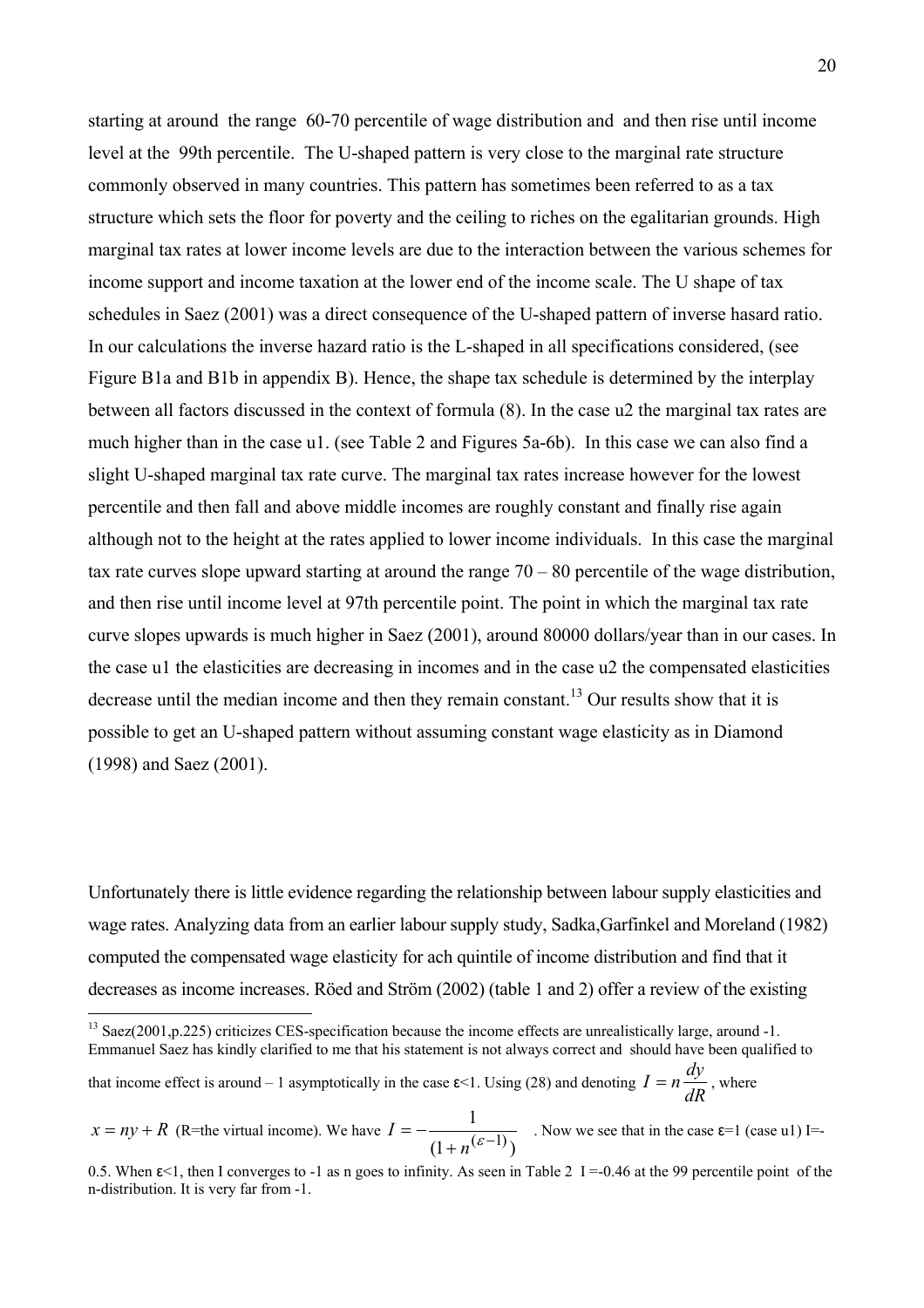starting at around the range 60-70 percentile of wage distribution and and then rise until income level at the 99th percentile. The U-shaped pattern is very close to the marginal rate structure commonly observed in many countries. This pattern has sometimes been referred to as a tax structure which sets the floor for poverty and the ceiling to riches on the egalitarian grounds. High marginal tax rates at lower income levels are due to the interaction between the various schemes for income support and income taxation at the lower end of the income scale. The U shape of tax schedules in Saez (2001) was a direct consequence of the U-shaped pattern of inverse hasard ratio. In our calculations the inverse hazard ratio is the L-shaped in all specifications considered, (see Figure B1a and B1b in appendix B). Hence, the shape tax schedule is determined by the interplay between all factors discussed in the context of formula (8). In the case u2 the marginal tax rates are much higher than in the case u1. (see Table 2 and Figures 5a-6b). In this case we can also find a slight U-shaped marginal tax rate curve. The marginal tax rates increase however for the lowest percentile and then fall and above middle incomes are roughly constant and finally rise again although not to the height at the rates applied to lower income individuals. In this case the marginal tax rate curves slope upward starting at around the range  $70 - 80$  percentile of the wage distribution, and then rise until income level at 97th percentile point. The point in which the marginal tax rate curve slopes upwards is much higher in Saez (2001), around 80000 dollars/year than in our cases. In the case u1 the elasticities are decreasing in incomes and in the case u2 the compensated elasticities decrease until the median income and then they remain constant.<sup>13</sup> Our results show that it is possible to get an U-shaped pattern without assuming constant wage elasticity as in Diamond (1998) and Saez (2001).

Unfortunately there is little evidence regarding the relationship between labour supply elasticities and wage rates. Analyzing data from an earlier labour supply study, Sadka,Garfinkel and Moreland (1982) computed the compensated wage elasticity for ach quintile of income distribution and find that it decreases as income increases. Röed and Ström (2002) (table 1 and 2) offer a review of the existing

<span id="page-20-0"></span><sup>&</sup>lt;sup>13</sup> Saez(2001, p.225) criticizes CES-specification because the income effects are unrealistically large, around -1. Emmanuel Saez has kindly clarified to me that his statement is not always correct and should have been qualified to

that income effect is around – 1 asymptotically in the case  $\varepsilon$ <1. Using (28) and denoting  $I = n \frac{dy}{dR}$  $I = n \frac{dy}{dx}$ , where

 $x = ny + R$  (R=the virtual income). We have  $(1 + n^{(\mathcal{E}-1)})$  $I = -\frac{1}{(1 + n^{(\varepsilon - 1)})}$ . Now we see that in the case  $\varepsilon = 1$  (case u1) I=-

<sup>0.5.</sup> When  $\varepsilon$ <1, then I converges to -1 as n goes to infinity. As seen in Table 2 I =-0.46 at the 99 percentile point of the n-distribution. It is very far from -1.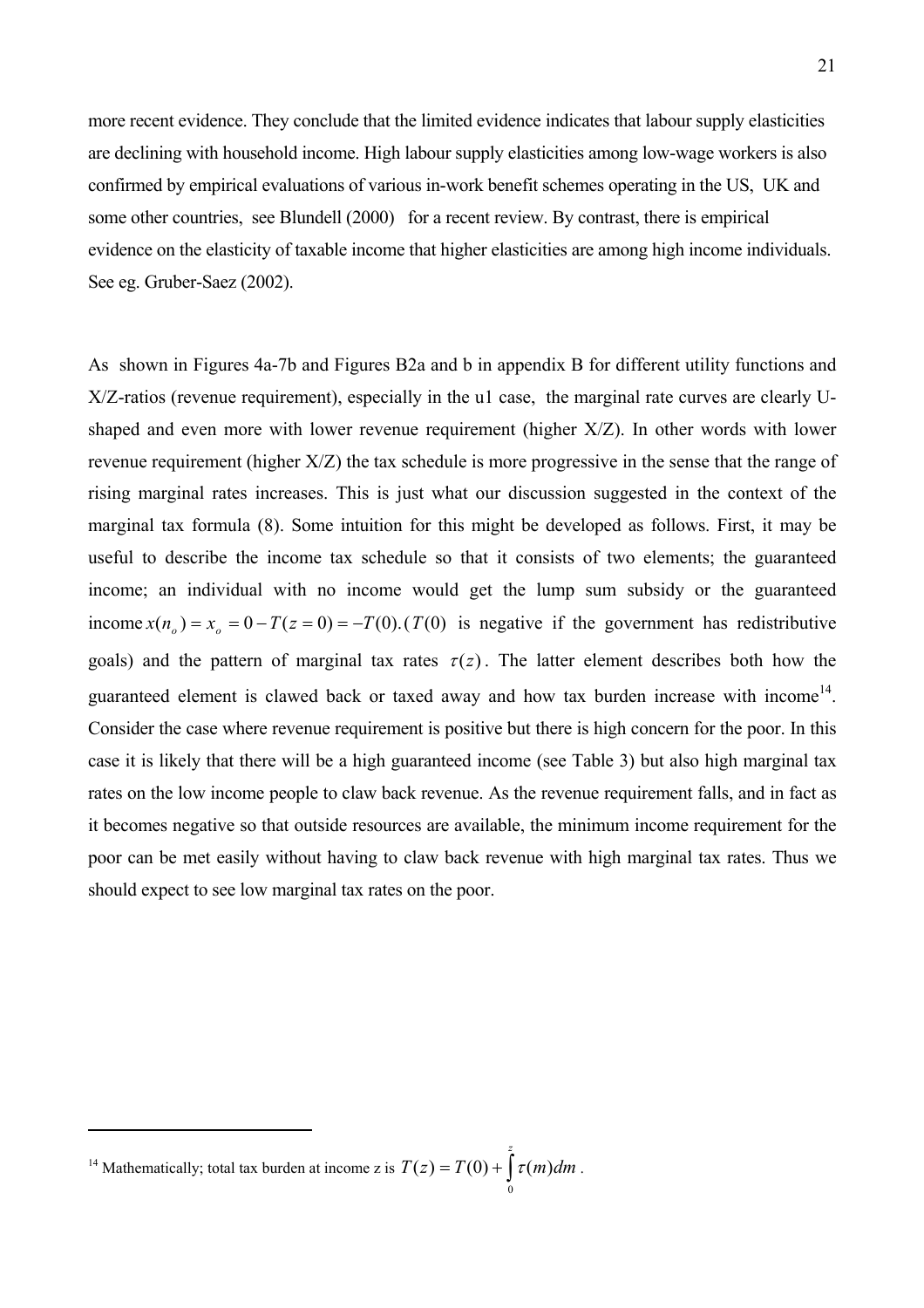more recent evidence. They conclude that the limited evidence indicates that labour supply elasticities are declining with household income. High labour supply elasticities among low-wage workers is also confirmed by empirical evaluations of various in-work benefit schemes operating in the US, UK and some other countries, see Blundell (2000) for a recent review. By contrast, there is empirical evidence on the elasticity of taxable income that higher elasticities are among high income individuals. See eg. Gruber-Saez (2002).

As shown in Figures 4a-7b and Figures B2a and b in appendix B for different utility functions and X/Z-ratios (revenue requirement), especially in the u1 case, the marginal rate curves are clearly Ushaped and even more with lower revenue requirement (higher X/Z). In other words with lower revenue requirement (higher X/Z) the tax schedule is more progressive in the sense that the range of rising marginal rates increases. This is just what our discussion suggested in the context of the marginal tax formula (8). Some intuition for this might be developed as follows. First, it may be useful to describe the income tax schedule so that it consists of two elements; the guaranteed income; an individual with no income would get the lump sum subsidy or the guaranteed income  $x(n_0) = x_0 = 0 - T(z = 0) = -T(0)$ . *(T(0)* is negative if the government has redistributive goals) and the pattern of marginal tax rates  $\tau(z)$ . The latter element describes both how the guaranteed element is clawed back or taxed away and how tax burden increase with income<sup>14</sup>. Consider the case where revenue requirement is positive but there is high concern for the poor. In this case it is likely that there will be a high guaranteed income (see Table 3) but also high marginal tax rates on the low income people to claw back revenue. As the revenue requirement falls, and in fact as it becomes negative so that outside resources are available, the minimum income requirement for the poor can be met easily without having to claw back revenue with high marginal tax rates. Thus we should expect to see low marginal tax rates on the poor.

0

 $\overline{a}$ 

<span id="page-21-0"></span><sup>&</sup>lt;sup>14</sup> Mathematically; total tax burden at income z is  $T(z) = T(0) + \int \tau(m) dm$ . *z*  $\tau(z) = T(0) + \int \tau(m) dm$  $(z) = T(0) + |\tau(m)|$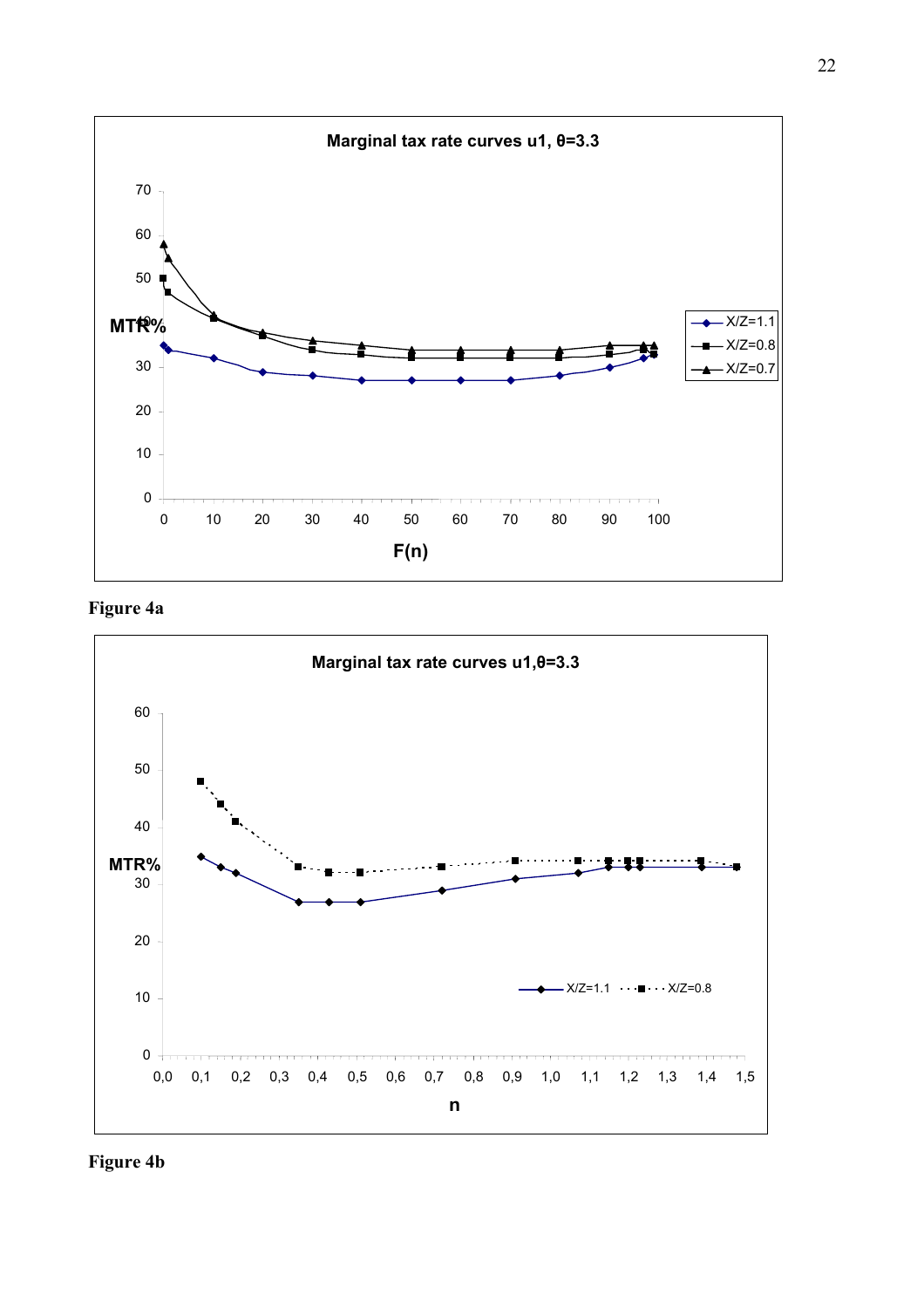

**Figure 4a** 



**Figure 4b**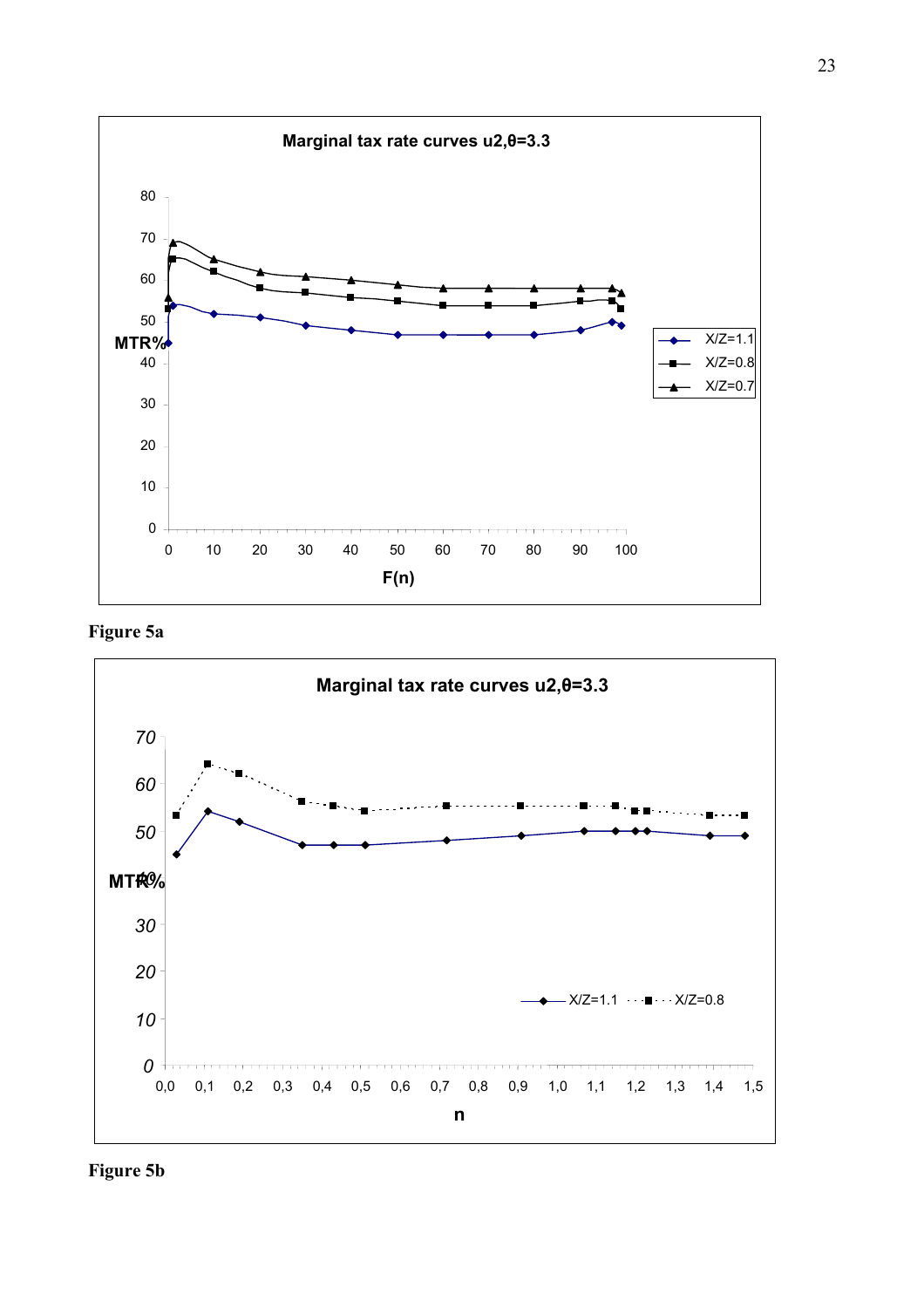

**Figure 5a** 



**Figure 5b**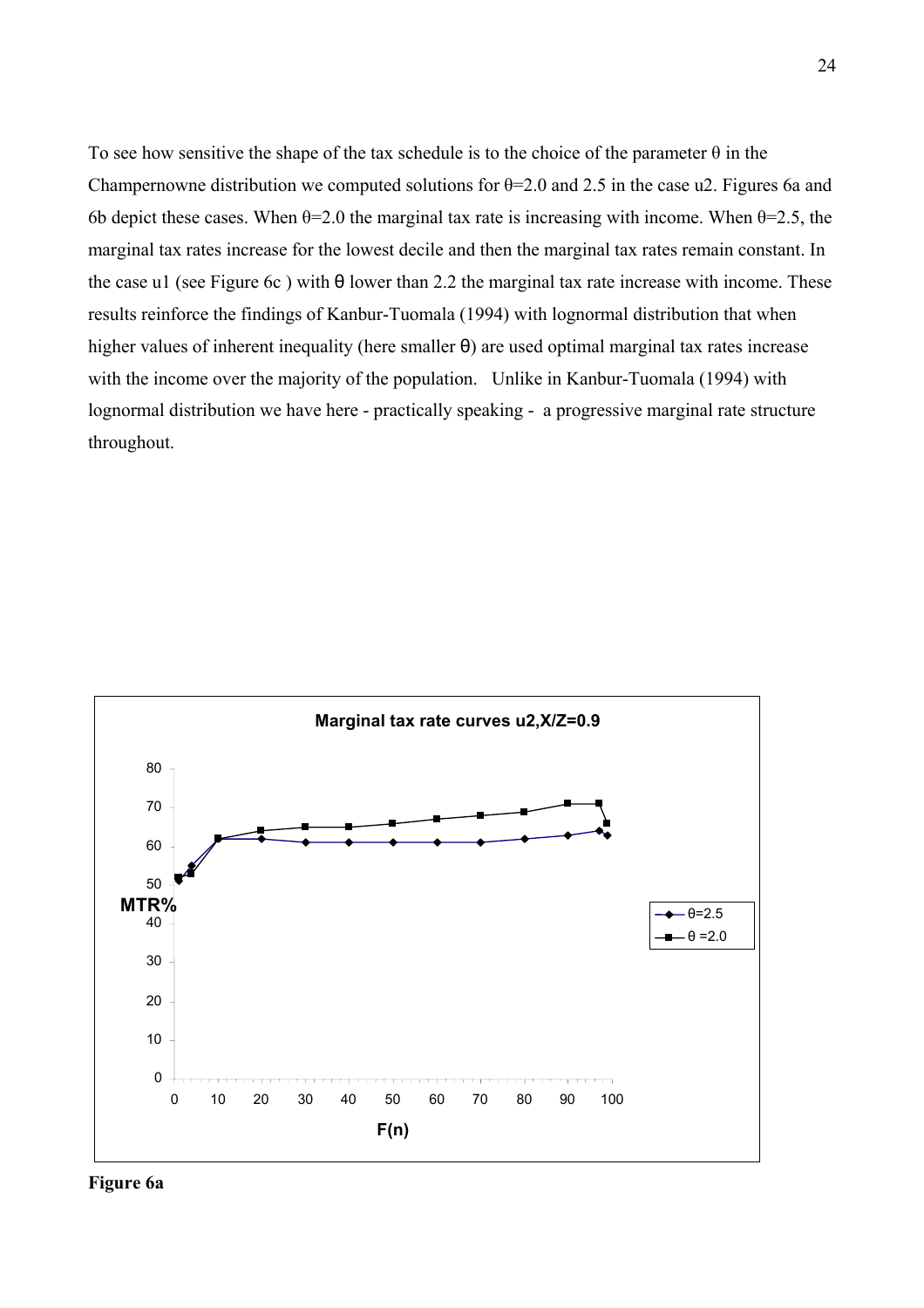To see how sensitive the shape of the tax schedule is to the choice of the parameter  $\theta$  in the Champernowne distribution we computed solutions for  $\theta$ =2.0 and 2.5 in the case u2. Figures 6a and 6b depict these cases. When  $\theta$ =2.0 the marginal tax rate is increasing with income. When  $\theta$ =2.5, the marginal tax rates increase for the lowest decile and then the marginal tax rates remain constant. In the case u1 (see Figure 6c) with  $\theta$  lower than 2.2 the marginal tax rate increase with income. These results reinforce the findings of Kanbur-Tuomala (1994) with lognormal distribution that when higher values of inherent inequality (here smaller θ) are used optimal marginal tax rates increase with the income over the majority of the population. Unlike in Kanbur-Tuomala (1994) with lognormal distribution we have here - practically speaking - a progressive marginal rate structure throughout.



**Figure 6a**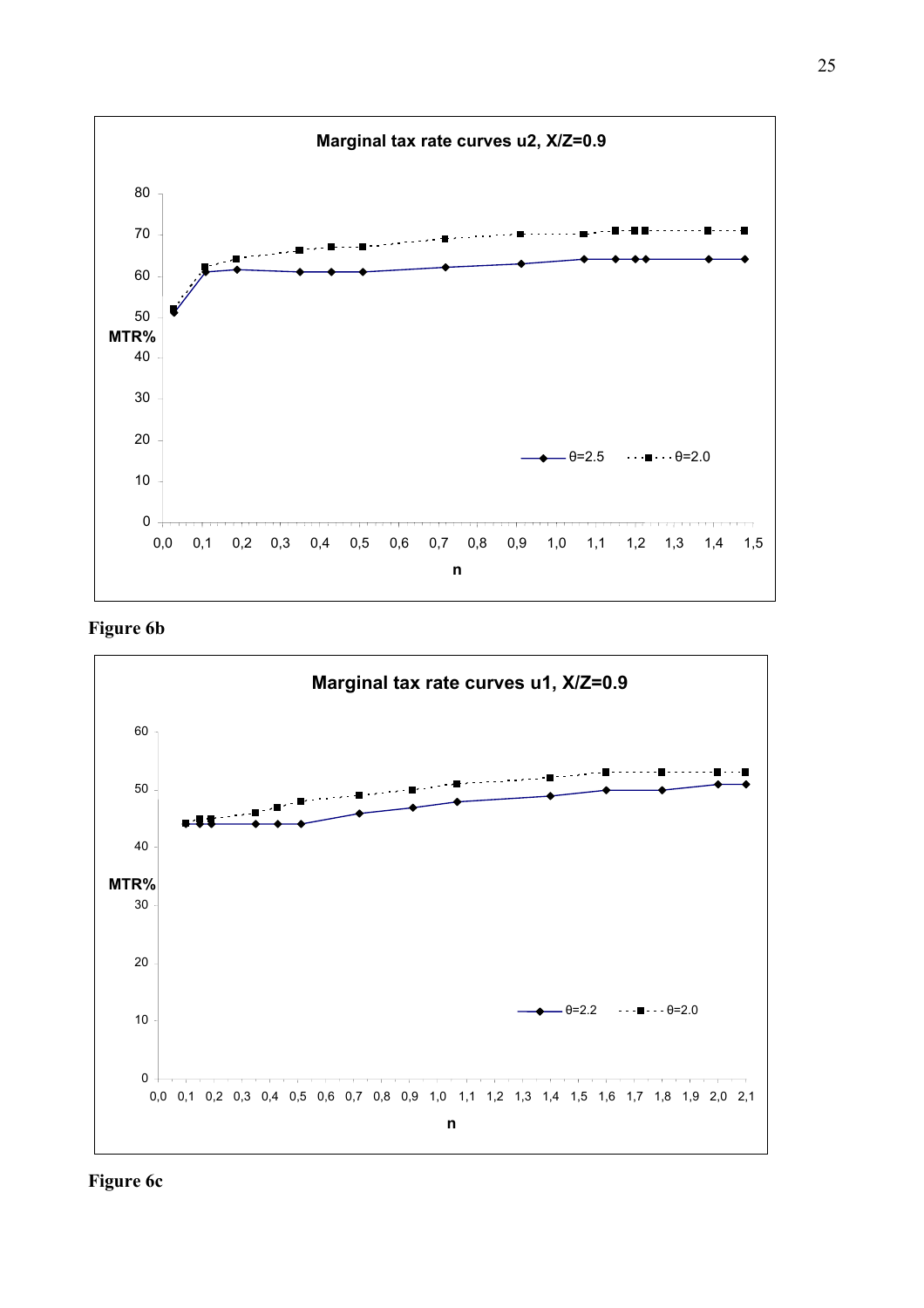

**Figure 6b** 



**Figure 6c**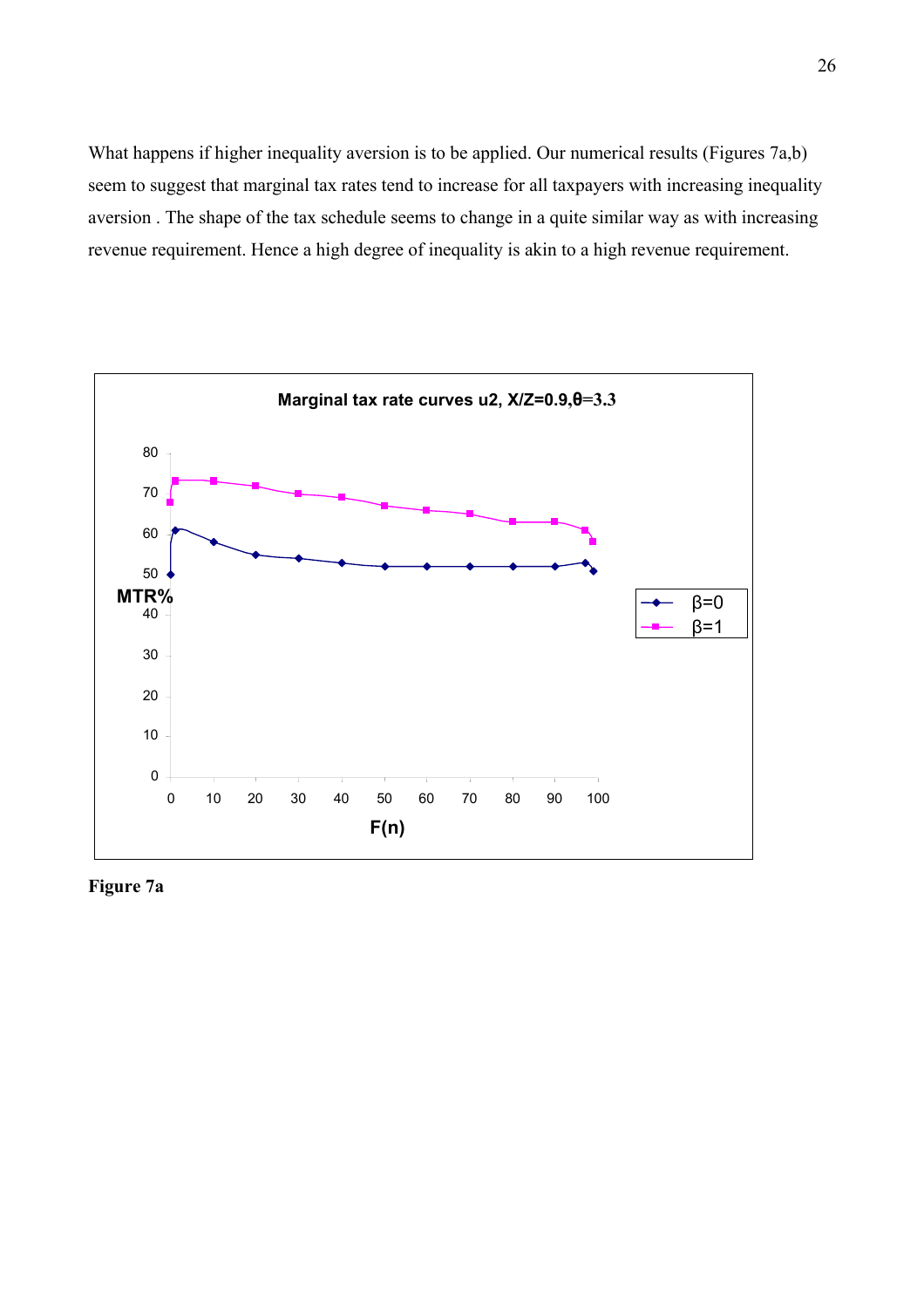What happens if higher inequality aversion is to be applied. Our numerical results (Figures 7a,b) seem to suggest that marginal tax rates tend to increase for all taxpayers with increasing inequality aversion . The shape of the tax schedule seems to change in a quite similar way as with increasing revenue requirement. Hence a high degree of inequality is akin to a high revenue requirement.



**Figure 7a**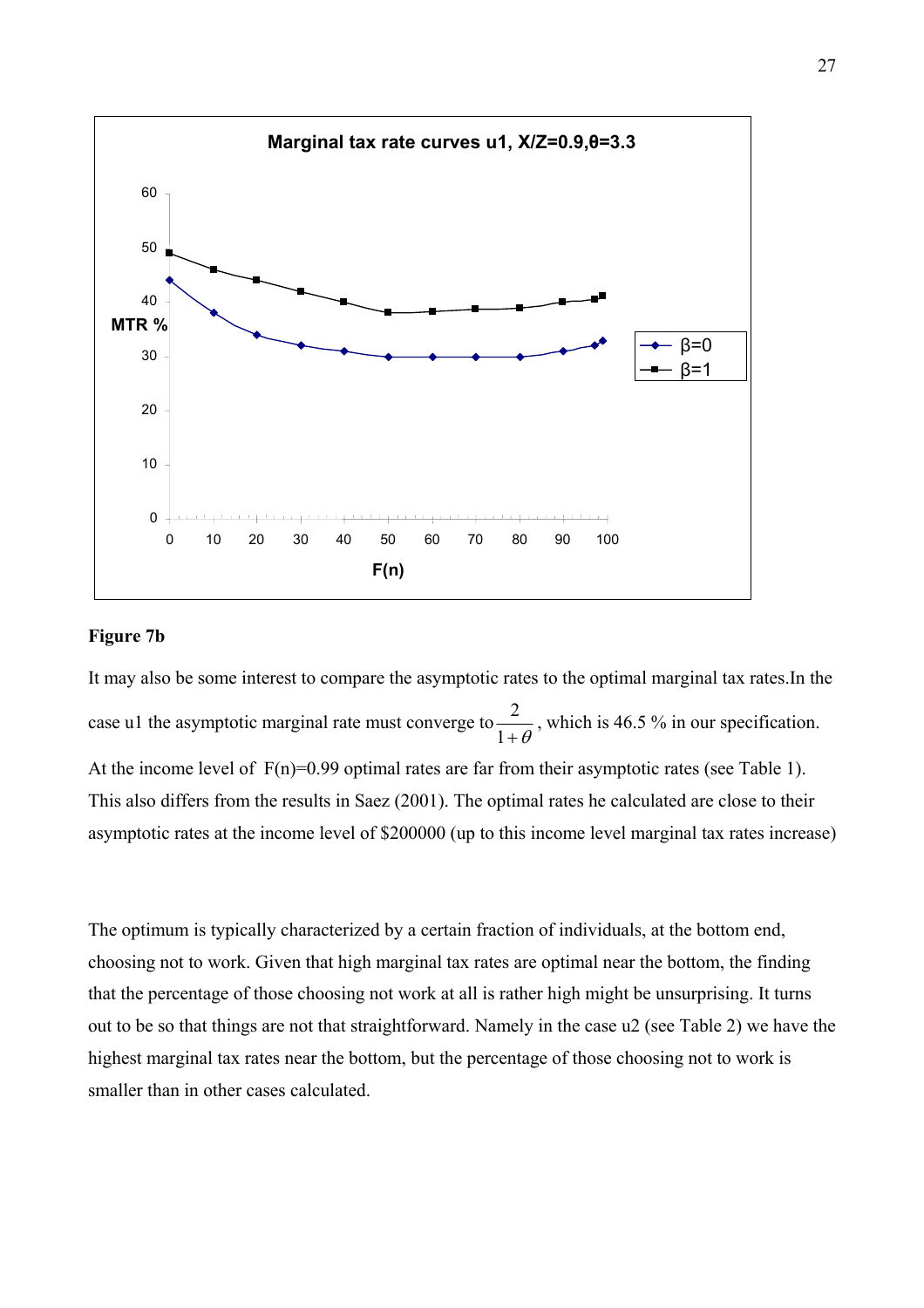

#### **Figure 7b**

It may also be some interest to compare the asymptotic rates to the optimal marginal tax rates.In the case u1 the asymptotic marginal rate must converge to  $+ \theta$  $\frac{2}{1+\theta}$ , which is 46.5 % in our specification. At the income level of  $F(n)=0.99$  optimal rates are far from their asymptotic rates (see Table 1). This also differs from the results in Saez (2001). The optimal rates he calculated are close to their asymptotic rates at the income level of \$200000 (up to this income level marginal tax rates increase)

The optimum is typically characterized by a certain fraction of individuals, at the bottom end, choosing not to work. Given that high marginal tax rates are optimal near the bottom, the finding that the percentage of those choosing not work at all is rather high might be unsurprising. It turns out to be so that things are not that straightforward. Namely in the case u2 (see Table 2) we have the highest marginal tax rates near the bottom, but the percentage of those choosing not to work is smaller than in other cases calculated.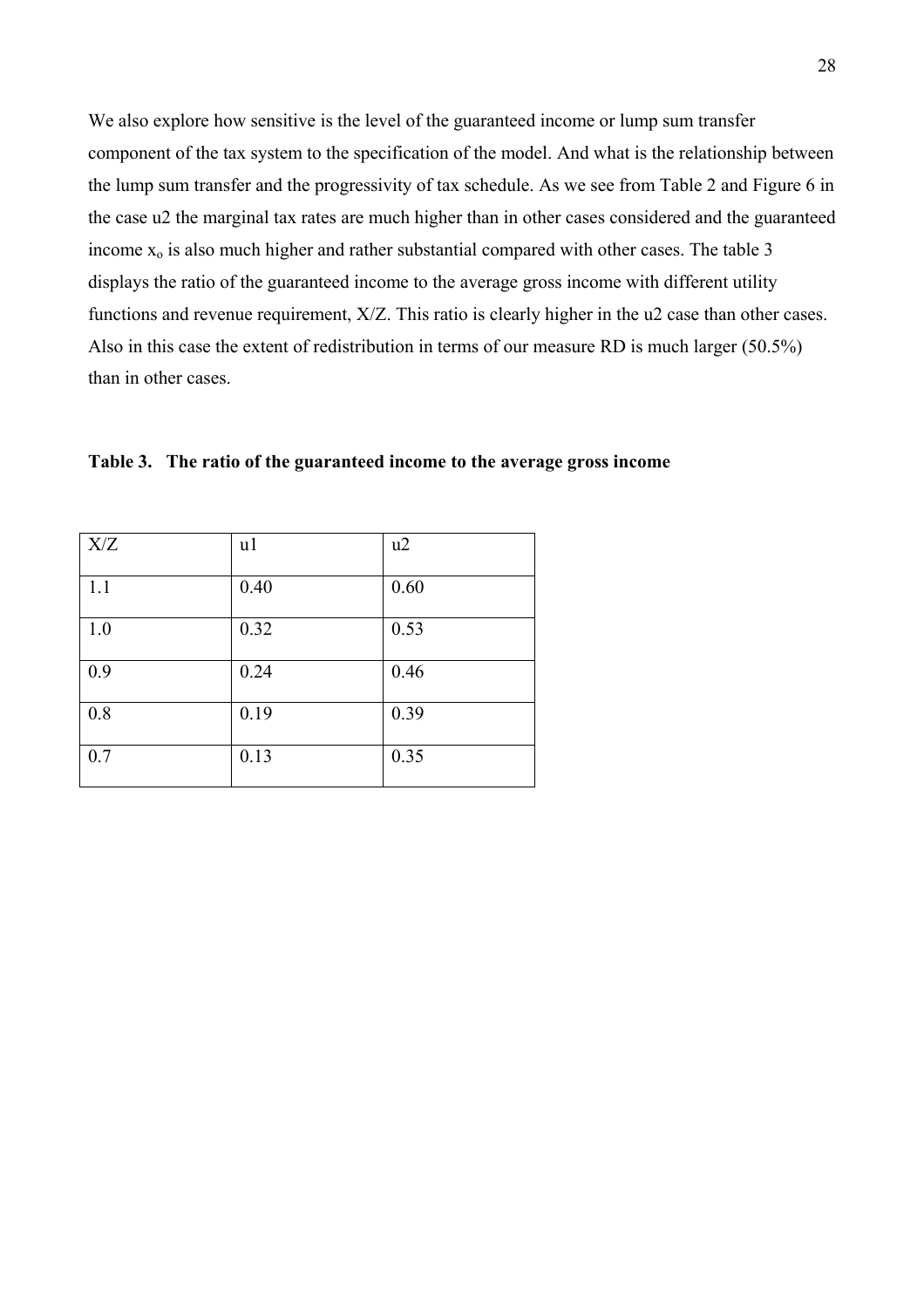We also explore how sensitive is the level of the guaranteed income or lump sum transfer component of the tax system to the specification of the model. And what is the relationship between the lump sum transfer and the progressivity of tax schedule. As we see from Table 2 and Figure 6 in the case u2 the marginal tax rates are much higher than in other cases considered and the guaranteed income  $x_0$  is also much higher and rather substantial compared with other cases. The table 3 displays the ratio of the guaranteed income to the average gross income with different utility functions and revenue requirement, X/Z. This ratio is clearly higher in the u2 case than other cases. Also in this case the extent of redistribution in terms of our measure RD is much larger (50.5%) than in other cases.

| X/Z | u1   | u2   |
|-----|------|------|
| 1.1 | 0.40 | 0.60 |
| 1.0 | 0.32 | 0.53 |
| 0.9 | 0.24 | 0.46 |
| 0.8 | 0.19 | 0.39 |
| 0.7 | 0.13 | 0.35 |

**Table 3. The ratio of the guaranteed income to the average gross income**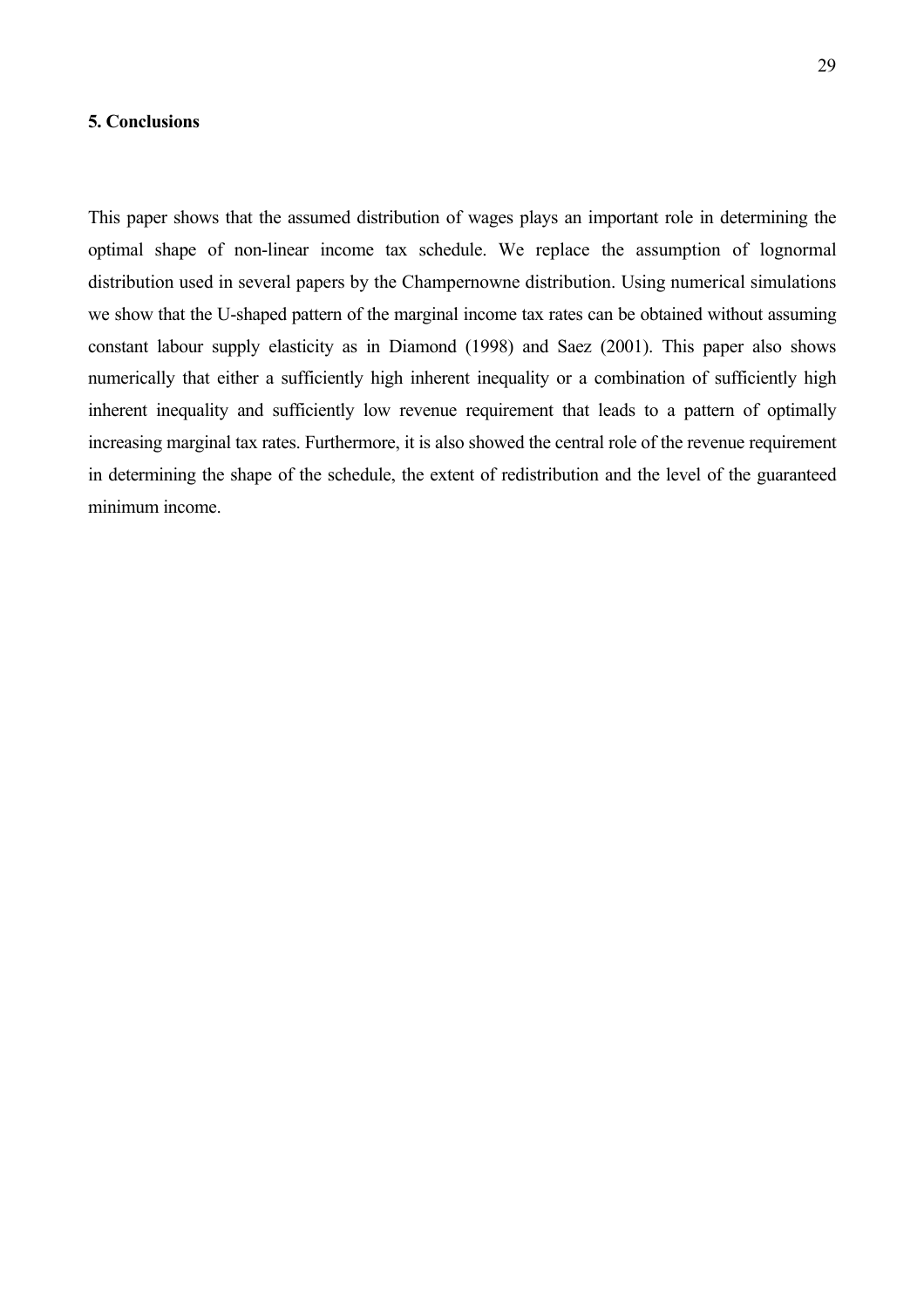## **5. Conclusions**

This paper shows that the assumed distribution of wages plays an important role in determining the optimal shape of non-linear income tax schedule. We replace the assumption of lognormal distribution used in several papers by the Champernowne distribution. Using numerical simulations we show that the U-shaped pattern of the marginal income tax rates can be obtained without assuming constant labour supply elasticity as in Diamond (1998) and Saez (2001). This paper also shows numerically that either a sufficiently high inherent inequality or a combination of sufficiently high inherent inequality and sufficiently low revenue requirement that leads to a pattern of optimally increasing marginal tax rates. Furthermore, it is also showed the central role of the revenue requirement in determining the shape of the schedule, the extent of redistribution and the level of the guaranteed minimum income.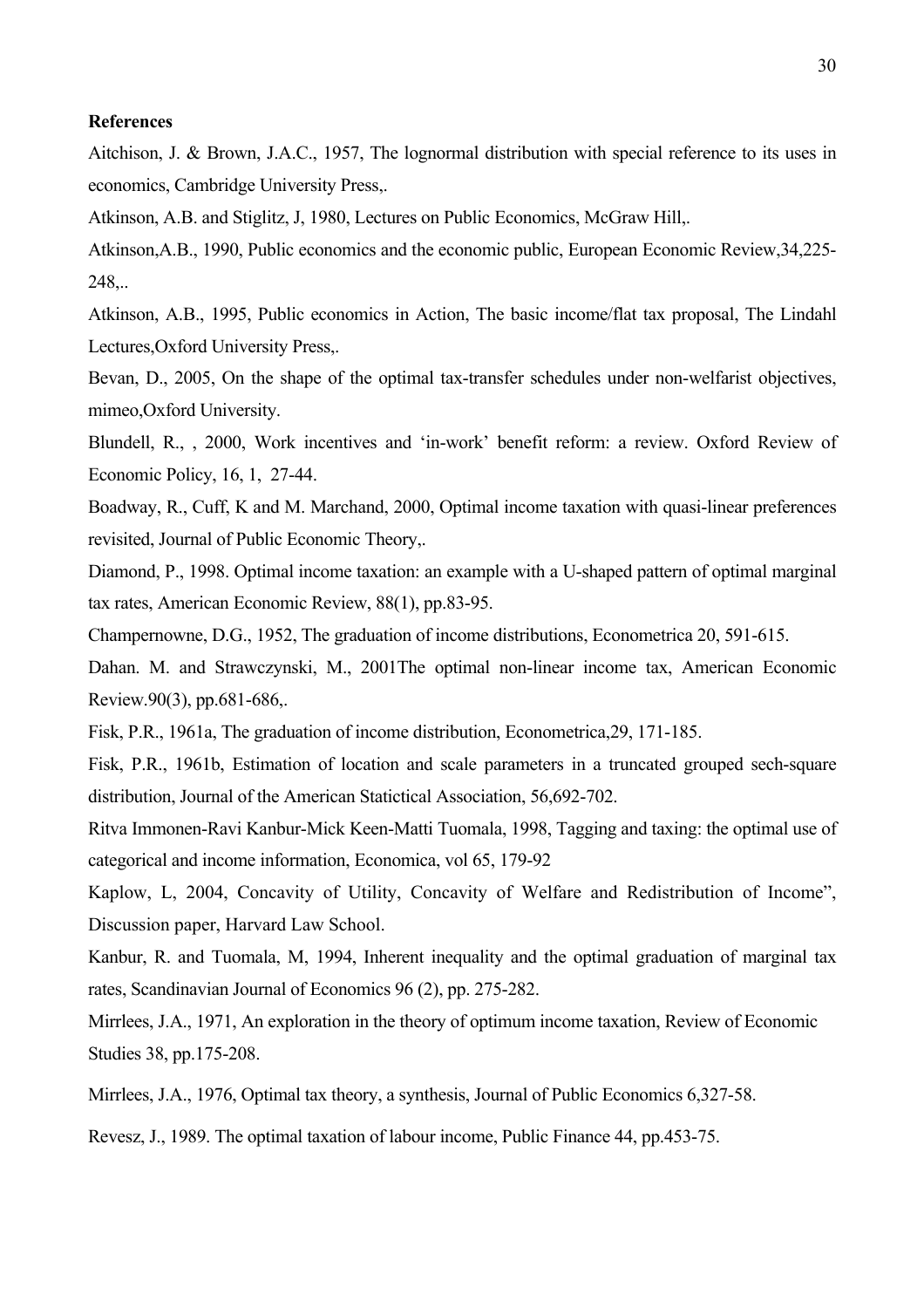#### **References**

Aitchison, J. & Brown, J.A.C., 1957, The lognormal distribution with special reference to its uses in economics, Cambridge University Press,.

Atkinson, A.B. and Stiglitz, J, 1980, Lectures on Public Economics, McGraw Hill,.

Atkinson,A.B., 1990, Public economics and the economic public, European Economic Review,34,225- 248,..

Atkinson, A.B., 1995, Public economics in Action, The basic income/flat tax proposal, The Lindahl Lectures,Oxford University Press,.

Bevan, D., 2005, On the shape of the optimal tax-transfer schedules under non-welfarist objectives, mimeo,Oxford University.

Blundell, R., , 2000, Work incentives and 'in-work' benefit reform: a review. Oxford Review of Economic Policy, 16, 1, 27-44.

Boadway, R., Cuff, K and M. Marchand, 2000, Optimal income taxation with quasi-linear preferences revisited, Journal of Public Economic Theory,.

Diamond, P., 1998. Optimal income taxation: an example with a U-shaped pattern of optimal marginal tax rates, American Economic Review, 88(1), pp.83-95.

Champernowne, D.G., 1952, The graduation of income distributions, Econometrica 20, 591-615.

Dahan. M. and Strawczynski, M., 2001The optimal non-linear income tax, American Economic Review.90(3), pp.681-686,.

Fisk, P.R., 1961a, The graduation of income distribution, Econometrica,29, 171-185.

Fisk, P.R., 1961b, Estimation of location and scale parameters in a truncated grouped sech-square distribution, Journal of the American Statictical Association, 56,692-702.

Ritva Immonen-Ravi Kanbur-Mick Keen-Matti Tuomala, 1998, Tagging and taxing: the optimal use of categorical and income information, Economica, vol 65, 179-92

Kaplow, L, 2004, Concavity of Utility, Concavity of Welfare and Redistribution of Income", Discussion paper, Harvard Law School.

Kanbur, R. and Tuomala, M, 1994, Inherent inequality and the optimal graduation of marginal tax rates, Scandinavian Journal of Economics 96 (2), pp. 275-282.

Mirrlees, J.A., 1971, An exploration in the theory of optimum income taxation, Review of Economic Studies 38, pp.175-208.

Mirrlees, J.A., 1976, Optimal tax theory, a synthesis, Journal of Public Economics 6,327-58.

Revesz, J., 1989. The optimal taxation of labour income, Public Finance 44, pp.453-75.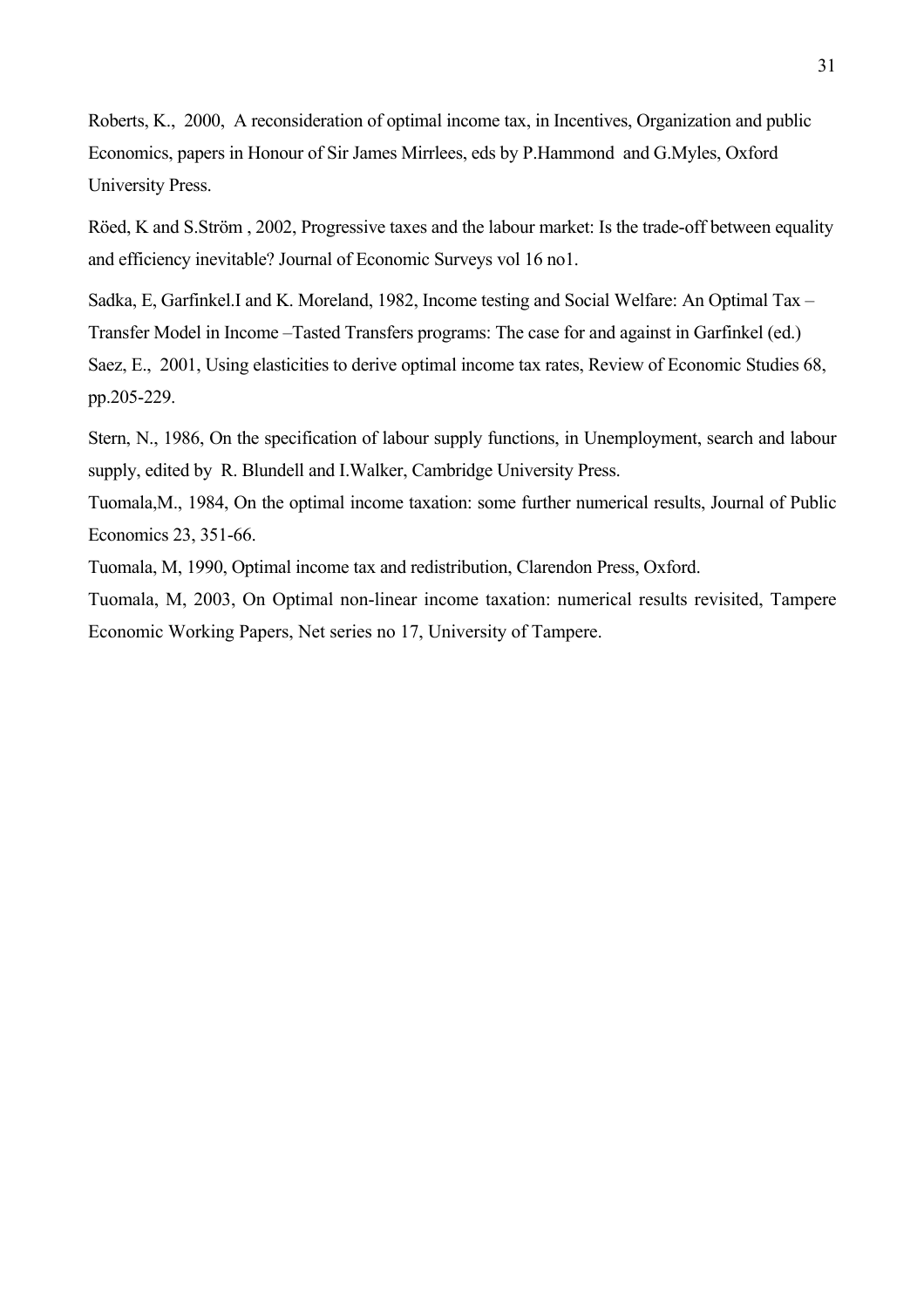Roberts, K., 2000, A reconsideration of optimal income tax, in Incentives, Organization and public Economics, papers in Honour of Sir James Mirrlees, eds by P.Hammond and G.Myles, Oxford University Press.

Röed, K and S.Ström , 2002, Progressive taxes and the labour market: Is the trade-off between equality and efficiency inevitable? Journal of Economic Surveys vol 16 no1.

Sadka, E, Garfinkel.I and K. Moreland, 1982, Income testing and Social Welfare: An Optimal Tax – Transfer Model in Income –Tasted Transfers programs: The case for and against in Garfinkel (ed.) Saez, E., 2001, Using elasticities to derive optimal income tax rates, Review of Economic Studies 68, pp.205-229.

Stern, N., 1986, On the specification of labour supply functions, in Unemployment, search and labour supply, edited by R. Blundell and I.Walker, Cambridge University Press.

Tuomala,M., 1984, On the optimal income taxation: some further numerical results, Journal of Public Economics 23, 351-66.

Tuomala, M, 1990, Optimal income tax and redistribution, Clarendon Press, Oxford.

Tuomala, M, 2003, On Optimal non-linear income taxation: numerical results revisited, Tampere Economic Working Papers, Net series no 17, University of Tampere.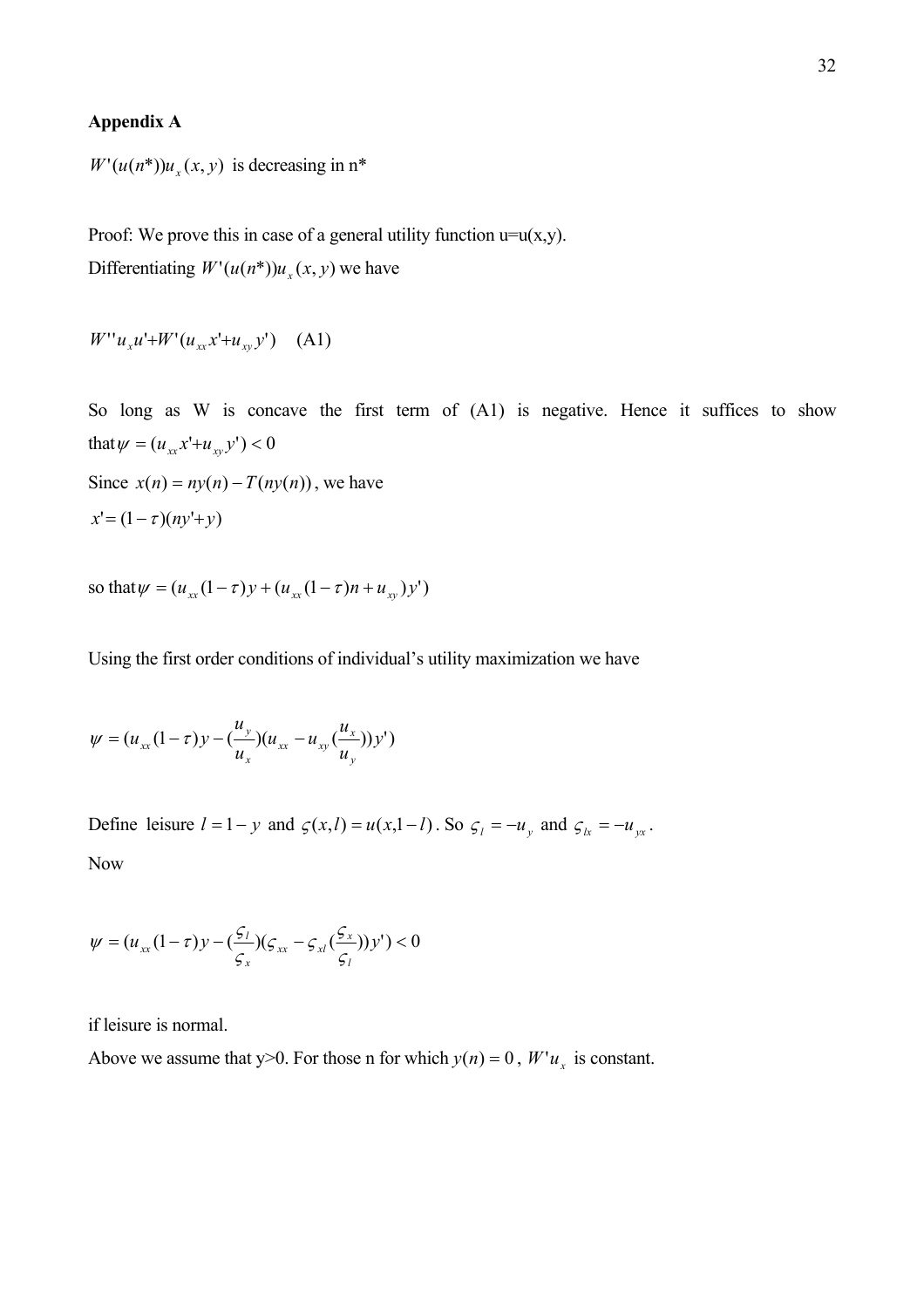#### **Appendix A**

 $W'(u(n^*))u(x, y)$  is decreasing in  $n^*$ 

Proof: We prove this in case of a general utility function  $u=u(x,y)$ . Differentiating  $W'(u(n^*))u_x(x, y)$  we have

 $W''u_xu' + W'(u_{xx}x' + u_{xy}y')$  (A1)

So long as W is concave the first term of  $(A1)$  is negative. Hence it suffices to show that  $\psi = (u_{xx}x' + u_{xy}y') < 0$ Since  $x(n) = ny(n) - T(ny(n))$ , we have  $x' = (1 - \tau)(nv' + v)$ 

so that  $\psi = (u_{xx}(1-\tau)y + (u_{xx}(1-\tau)n + u_{yy})y')$ 

Using the first order conditions of individual's utility maximization we have

$$
\psi = (u_{xx}(1-\tau)y - (\frac{u_y}{u_x})(u_{xx} - u_{xy}(\frac{u_x}{u_y}))y')
$$

Define leisure  $l = 1 - y$  and  $\varsigma(x, l) = u(x, l - l)$ . So  $\varsigma_l = -u_y$  and  $\varsigma_k = -u_{yx}$ . Now

$$
\psi = (u_{xx}(1-\tau)y - (\frac{\varsigma_l}{\varsigma_x})(\varsigma_{xx} - \varsigma_{xt}(\frac{\varsigma_x}{\varsigma_l}))y') < 0
$$

if leisure is normal.

Above we assume that y>0. For those n for which  $y(n) = 0$ ,  $W'u_x$  is constant.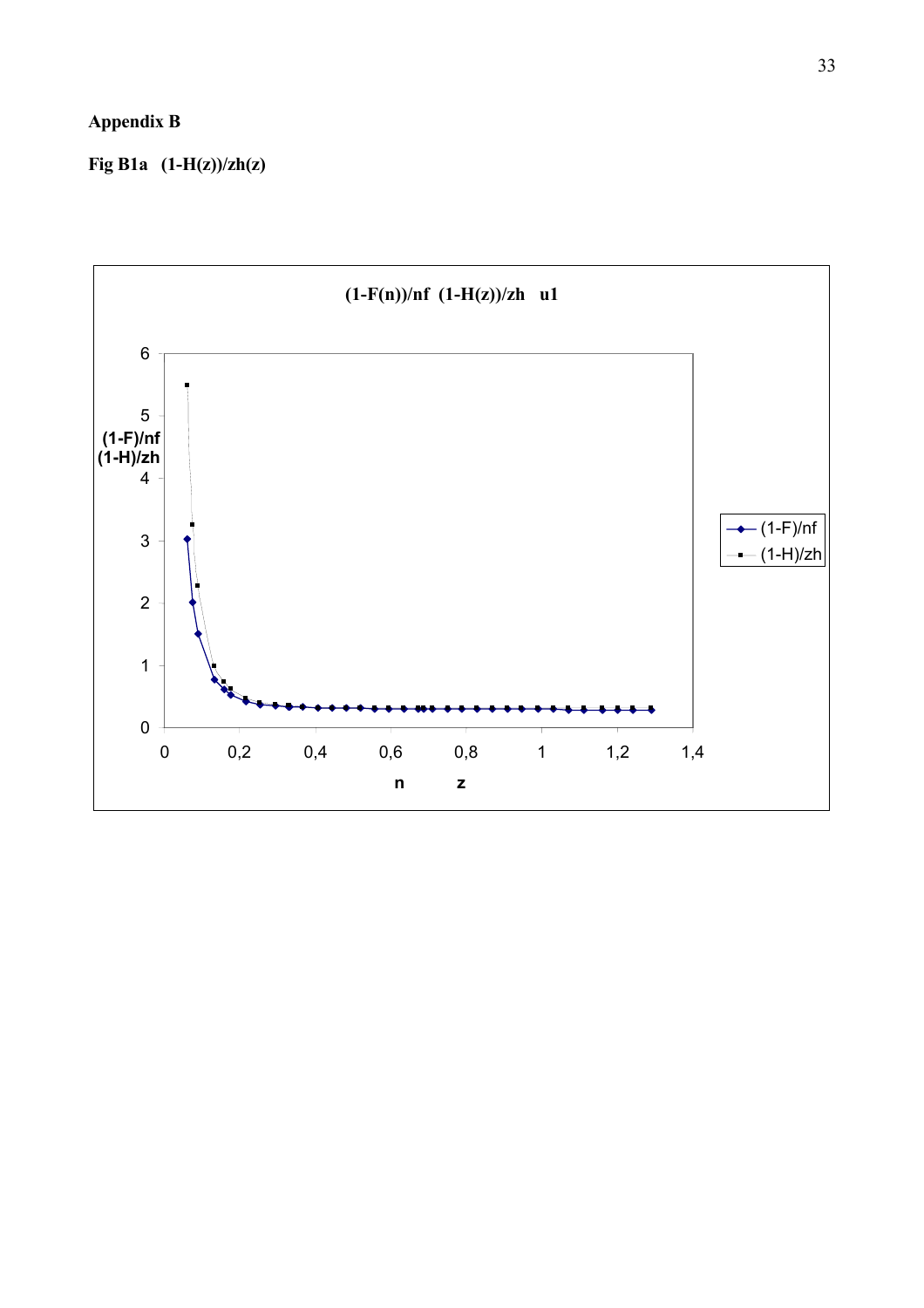# **Appendix B**

**Fig B1a (1-H(z))/zh(z)** 

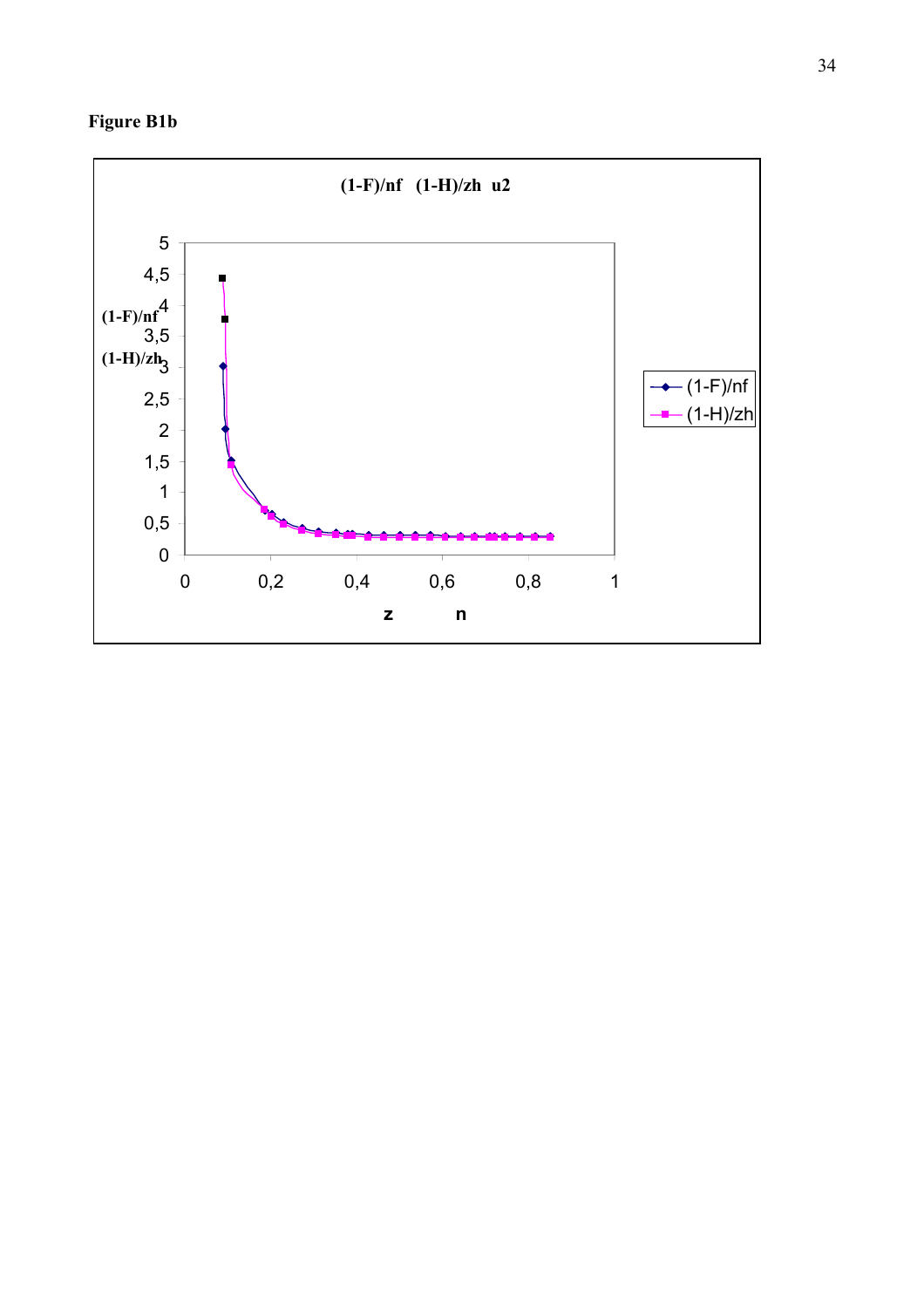

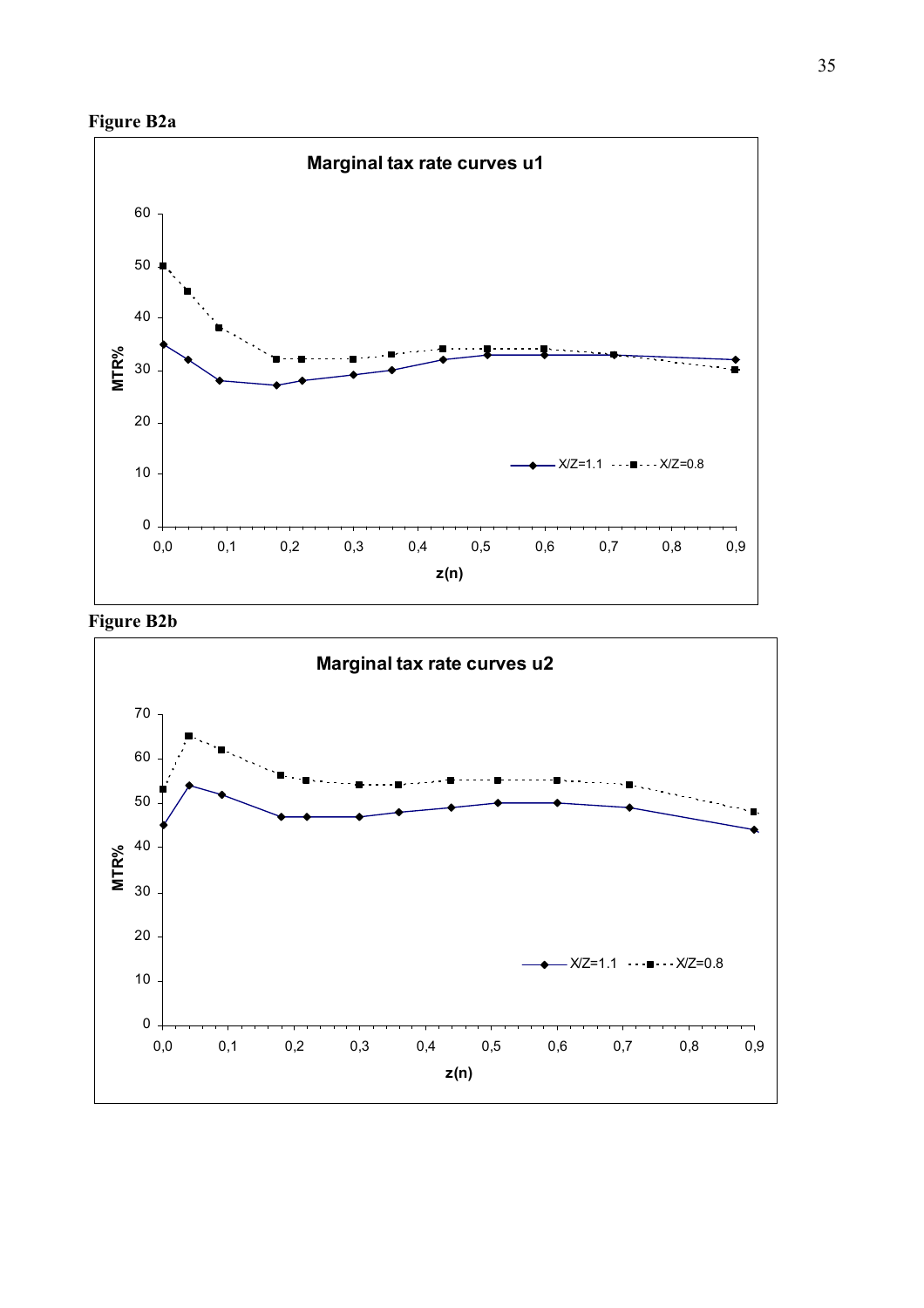



**Figure B2b** 

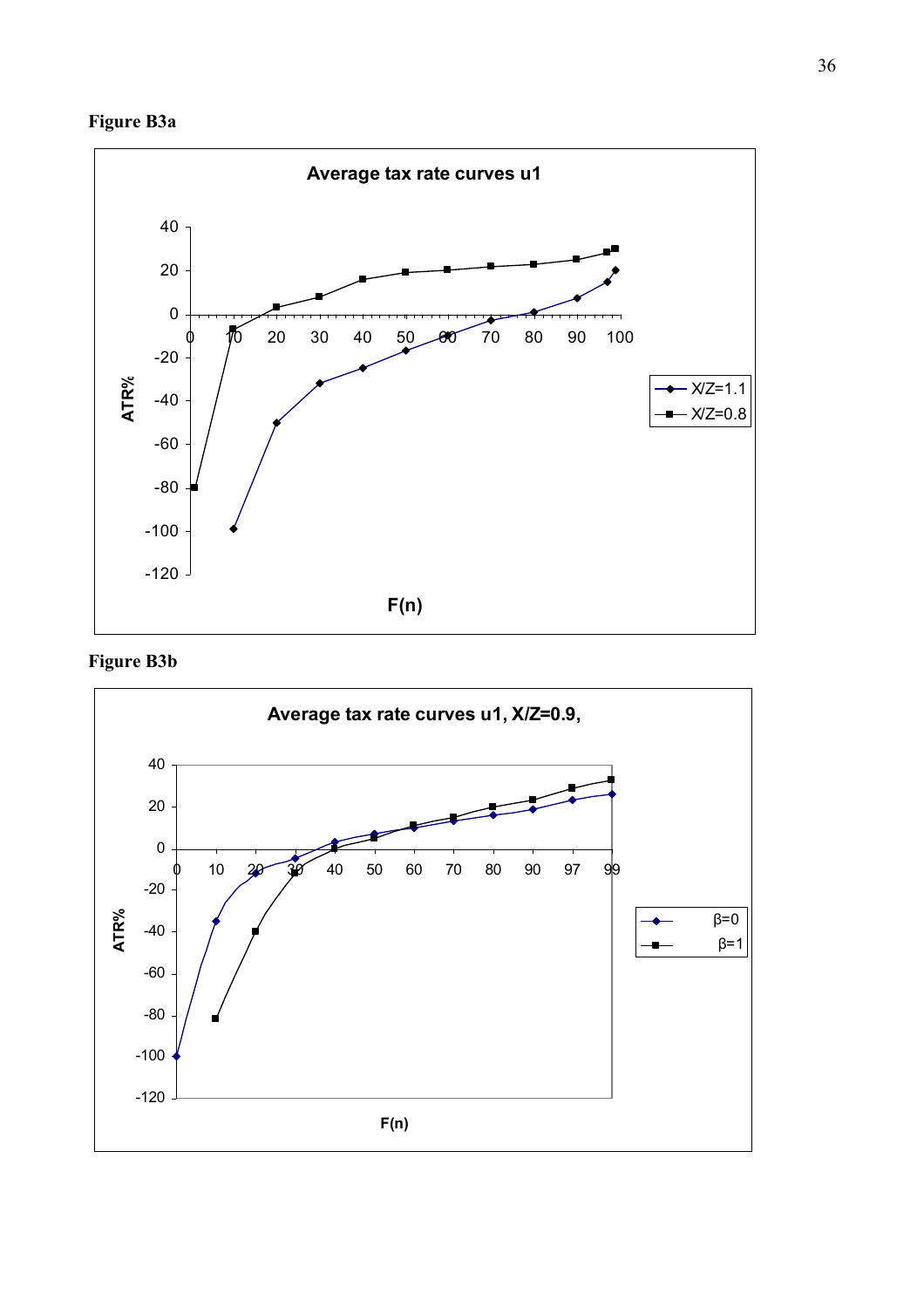



**Figure B3b**